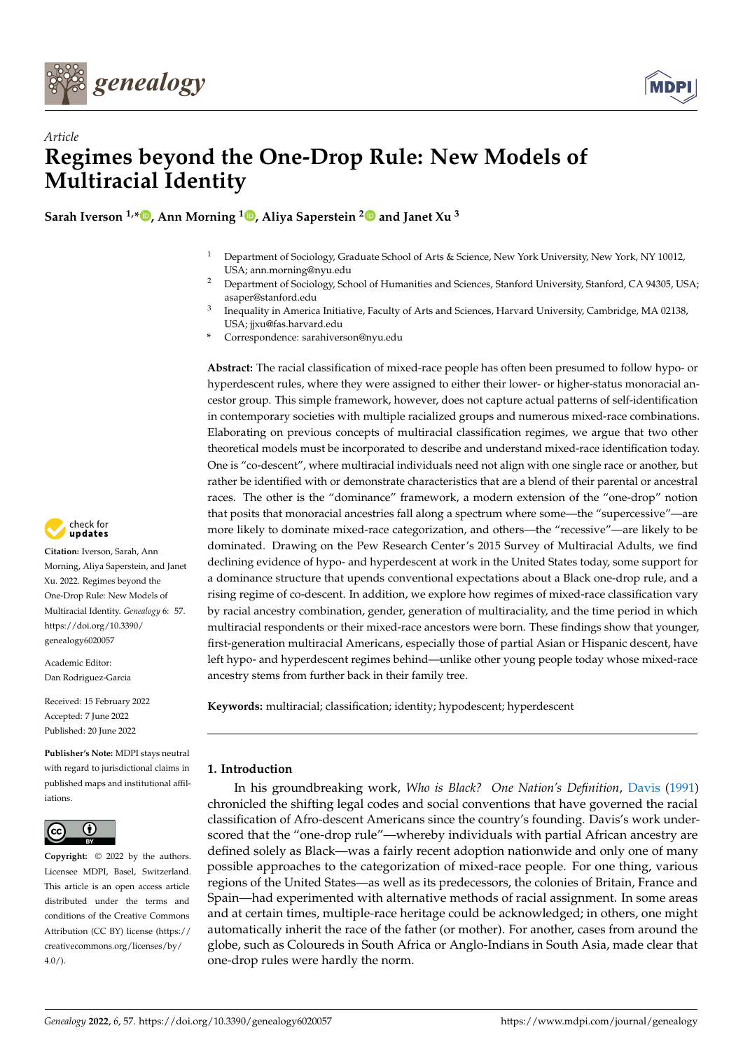



# *Article* **Regimes beyond the One-Drop Rule: New Models of Multiracial Identity**

**Sarah Iverson 1,[\\*](https://orcid.org/0000-0001-9623-4968) , Ann Morning <sup>1</sup> [,](https://orcid.org/0000-0003-2798-6984) Aliya Saperstein [2](https://orcid.org/0000-0002-6429-1172) and Janet Xu <sup>3</sup>**

- <sup>1</sup> Department of Sociology, Graduate School of Arts & Science, New York University, New York, NY 10012, USA; ann.morning@nyu.edu
- <sup>2</sup> Department of Sociology, School of Humanities and Sciences, Stanford University, Stanford, CA 94305, USA; asaper@stanford.edu
- 3 Inequality in America Initiative, Faculty of Arts and Sciences, Harvard University, Cambridge, MA 02138, USA; jjxu@fas.harvard.edu
- **\*** Correspondence: sarahiverson@nyu.edu

**Abstract:** The racial classification of mixed-race people has often been presumed to follow hypo- or hyperdescent rules, where they were assigned to either their lower- or higher-status monoracial ancestor group. This simple framework, however, does not capture actual patterns of self-identification in contemporary societies with multiple racialized groups and numerous mixed-race combinations. Elaborating on previous concepts of multiracial classification regimes, we argue that two other theoretical models must be incorporated to describe and understand mixed-race identification today. One is "co-descent", where multiracial individuals need not align with one single race or another, but rather be identified with or demonstrate characteristics that are a blend of their parental or ancestral races. The other is the "dominance" framework, a modern extension of the "one-drop" notion that posits that monoracial ancestries fall along a spectrum where some—the "supercessive"—are more likely to dominate mixed-race categorization, and others—the "recessive"—are likely to be dominated. Drawing on the Pew Research Center's 2015 Survey of Multiracial Adults, we find declining evidence of hypo- and hyperdescent at work in the United States today, some support for a dominance structure that upends conventional expectations about a Black one-drop rule, and a rising regime of co-descent. In addition, we explore how regimes of mixed-race classification vary by racial ancestry combination, gender, generation of multiraciality, and the time period in which multiracial respondents or their mixed-race ancestors were born. These findings show that younger, first-generation multiracial Americans, especially those of partial Asian or Hispanic descent, have left hypo- and hyperdescent regimes behind—unlike other young people today whose mixed-race ancestry stems from further back in their family tree.

**Keywords:** multiracial; classification; identity; hypodescent; hyperdescent

# **1. Introduction**

In his groundbreaking work, *Who is Black? One Nation's Definition*, [Davis](#page-22-0) [\(1991\)](#page-22-0) chronicled the shifting legal codes and social conventions that have governed the racial classification of Afro-descent Americans since the country's founding. Davis's work underscored that the "one-drop rule"—whereby individuals with partial African ancestry are defined solely as Black—was a fairly recent adoption nationwide and only one of many possible approaches to the categorization of mixed-race people. For one thing, various regions of the United States—as well as its predecessors, the colonies of Britain, France and Spain—had experimented with alternative methods of racial assignment. In some areas and at certain times, multiple-race heritage could be acknowledged; in others, one might automatically inherit the race of the father (or mother). For another, cases from around the globe, such as Coloureds in South Africa or Anglo-Indians in South Asia, made clear that one-drop rules were hardly the norm.



**Citation:** Iverson, Sarah, Ann Morning, Aliya Saperstein, and Janet Xu. 2022. Regimes beyond the One-Drop Rule: New Models of Multiracial Identity. *Genealogy* 6: 57. [https://doi.org/10.3390/](https://doi.org/10.3390/genealogy6020057) [genealogy6020057](https://doi.org/10.3390/genealogy6020057)

Academic Editor: Dan Rodriguez-Garcia

Received: 15 February 2022 Accepted: 7 June 2022 Published: 20 June 2022

**Publisher's Note:** MDPI stays neutral with regard to jurisdictional claims in published maps and institutional affiliations.



**Copyright:** © 2022 by the authors. Licensee MDPI, Basel, Switzerland. This article is an open access article distributed under the terms and conditions of the Creative Commons Attribution (CC BY) license [\(https://](https://creativecommons.org/licenses/by/4.0/) [creativecommons.org/licenses/by/](https://creativecommons.org/licenses/by/4.0/)  $4.0/$ ).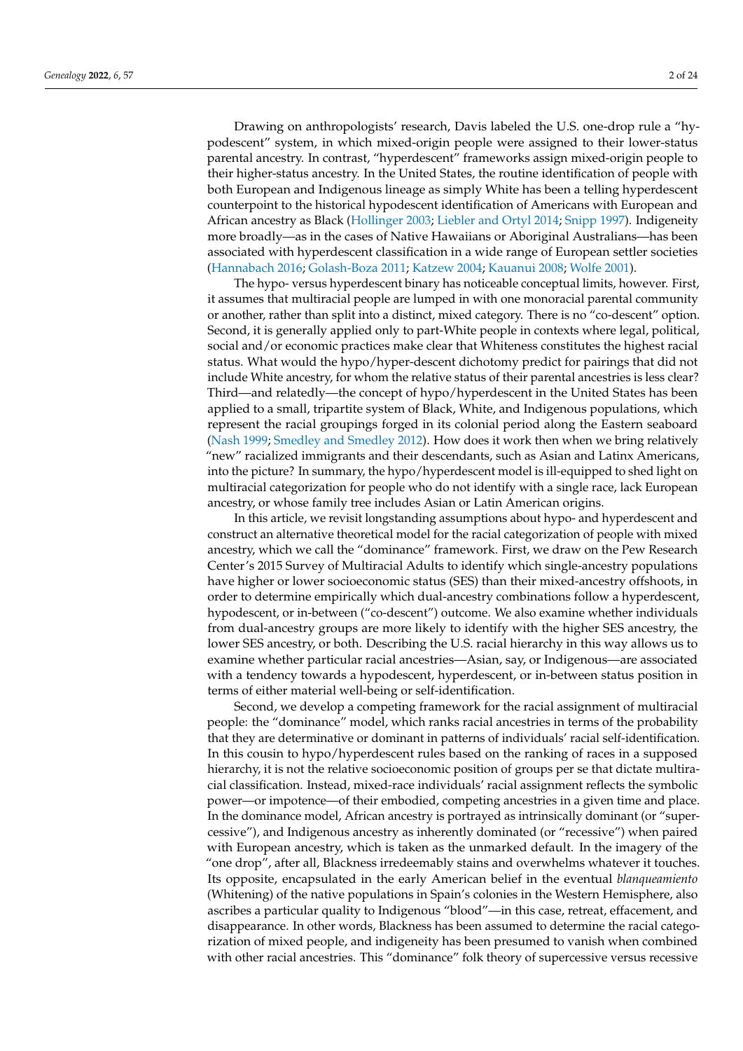Drawing on anthropologists' research, Davis labeled the U.S. one-drop rule a "hypodescent" system, in which mixed-origin people were assigned to their lower-status parental ancestry. In contrast, "hyperdescent" frameworks assign mixed-origin people to their higher-status ancestry. In the United States, the routine identification of people with both European and Indigenous lineage as simply White has been a telling hyperdescent counterpoint to the historical hypodescent identification of Americans with European and African ancestry as Black [\(Hollinger](#page-22-1) [2003;](#page-22-1) [Liebler and Ortyl](#page-23-0) [2014;](#page-23-0) [Snipp](#page-23-1) [1997\)](#page-23-1). Indigeneity more broadly—as in the cases of Native Hawaiians or Aboriginal Australians—has been associated with hyperdescent classification in a wide range of European settler societies [\(Hannabach](#page-22-2) [2016;](#page-22-2) [Golash-Boza](#page-22-3) [2011;](#page-22-3) [Katzew](#page-22-4) [2004;](#page-22-4) [Kauanui](#page-23-2) [2008;](#page-23-2) [Wolfe](#page-23-3) [2001\)](#page-23-3).

The hypo- versus hyperdescent binary has noticeable conceptual limits, however. First, it assumes that multiracial people are lumped in with one monoracial parental community or another, rather than split into a distinct, mixed category. There is no "co-descent" option. Second, it is generally applied only to part-White people in contexts where legal, political, social and/or economic practices make clear that Whiteness constitutes the highest racial status. What would the hypo/hyper-descent dichotomy predict for pairings that did not include White ancestry, for whom the relative status of their parental ancestries is less clear? Third—and relatedly—the concept of hypo/hyperdescent in the United States has been applied to a small, tripartite system of Black, White, and Indigenous populations, which represent the racial groupings forged in its colonial period along the Eastern seaboard [\(Nash](#page-23-4) [1999;](#page-23-4) [Smedley and Smedley](#page-23-5) [2012\)](#page-23-5). How does it work then when we bring relatively "new" racialized immigrants and their descendants, such as Asian and Latinx Americans, into the picture? In summary, the hypo/hyperdescent model is ill-equipped to shed light on multiracial categorization for people who do not identify with a single race, lack European ancestry, or whose family tree includes Asian or Latin American origins.

In this article, we revisit longstanding assumptions about hypo- and hyperdescent and construct an alternative theoretical model for the racial categorization of people with mixed ancestry, which we call the "dominance" framework. First, we draw on the Pew Research Center's 2015 Survey of Multiracial Adults to identify which single-ancestry populations have higher or lower socioeconomic status (SES) than their mixed-ancestry offshoots, in order to determine empirically which dual-ancestry combinations follow a hyperdescent, hypodescent, or in-between ("co-descent") outcome. We also examine whether individuals from dual-ancestry groups are more likely to identify with the higher SES ancestry, the lower SES ancestry, or both. Describing the U.S. racial hierarchy in this way allows us to examine whether particular racial ancestries—Asian, say, or Indigenous—are associated with a tendency towards a hypodescent, hyperdescent, or in-between status position in terms of either material well-being or self-identification.

Second, we develop a competing framework for the racial assignment of multiracial people: the "dominance" model, which ranks racial ancestries in terms of the probability that they are determinative or dominant in patterns of individuals' racial self-identification. In this cousin to hypo/hyperdescent rules based on the ranking of races in a supposed hierarchy, it is not the relative socioeconomic position of groups per se that dictate multiracial classification. Instead, mixed-race individuals' racial assignment reflects the symbolic power—or impotence—of their embodied, competing ancestries in a given time and place. In the dominance model, African ancestry is portrayed as intrinsically dominant (or "supercessive"), and Indigenous ancestry as inherently dominated (or "recessive") when paired with European ancestry, which is taken as the unmarked default. In the imagery of the "one drop", after all, Blackness irredeemably stains and overwhelms whatever it touches. Its opposite, encapsulated in the early American belief in the eventual *blanqueamiento* (Whitening) of the native populations in Spain's colonies in the Western Hemisphere, also ascribes a particular quality to Indigenous "blood"—in this case, retreat, effacement, and disappearance. In other words, Blackness has been assumed to determine the racial categorization of mixed people, and indigeneity has been presumed to vanish when combined with other racial ancestries. This "dominance" folk theory of supercessive versus recessive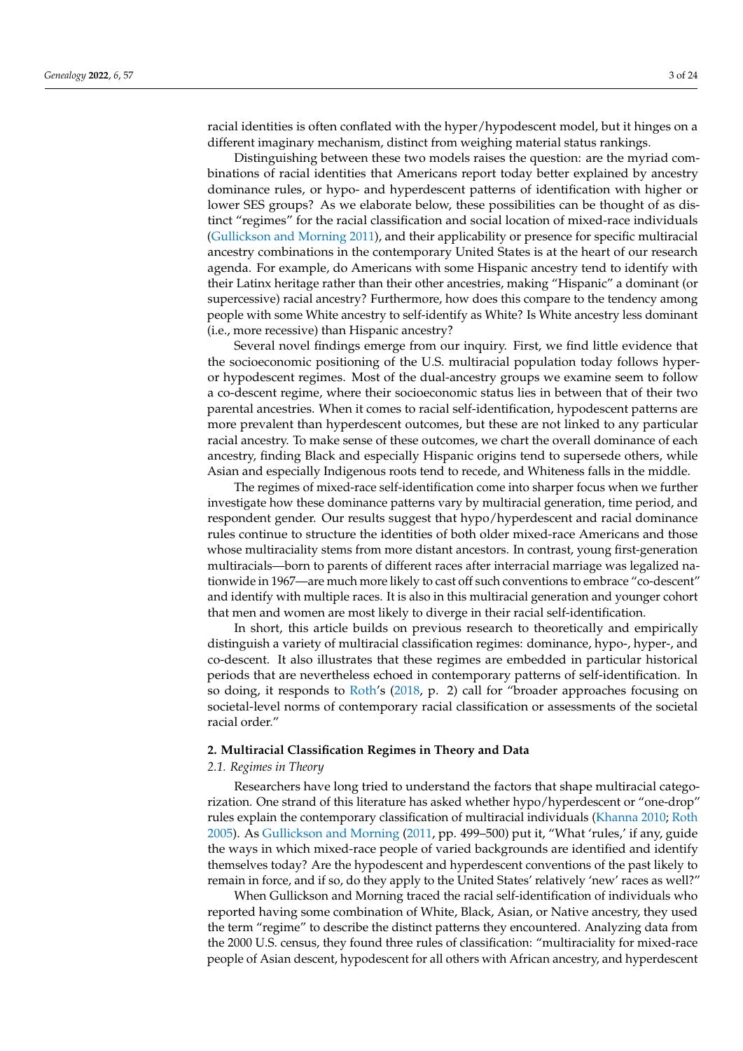racial identities is often conflated with the hyper/hypodescent model, but it hinges on a different imaginary mechanism, distinct from weighing material status rankings.

Distinguishing between these two models raises the question: are the myriad combinations of racial identities that Americans report today better explained by ancestry dominance rules, or hypo- and hyperdescent patterns of identification with higher or lower SES groups? As we elaborate below, these possibilities can be thought of as distinct "regimes" for the racial classification and social location of mixed-race individuals [\(Gullickson and Morning](#page-22-5) [2011\)](#page-22-5), and their applicability or presence for specific multiracial ancestry combinations in the contemporary United States is at the heart of our research agenda. For example, do Americans with some Hispanic ancestry tend to identify with their Latinx heritage rather than their other ancestries, making "Hispanic" a dominant (or supercessive) racial ancestry? Furthermore, how does this compare to the tendency among people with some White ancestry to self-identify as White? Is White ancestry less dominant (i.e., more recessive) than Hispanic ancestry?

Several novel findings emerge from our inquiry. First, we find little evidence that the socioeconomic positioning of the U.S. multiracial population today follows hyperor hypodescent regimes. Most of the dual-ancestry groups we examine seem to follow a co-descent regime, where their socioeconomic status lies in between that of their two parental ancestries. When it comes to racial self-identification, hypodescent patterns are more prevalent than hyperdescent outcomes, but these are not linked to any particular racial ancestry. To make sense of these outcomes, we chart the overall dominance of each ancestry, finding Black and especially Hispanic origins tend to supersede others, while Asian and especially Indigenous roots tend to recede, and Whiteness falls in the middle.

The regimes of mixed-race self-identification come into sharper focus when we further investigate how these dominance patterns vary by multiracial generation, time period, and respondent gender. Our results suggest that hypo/hyperdescent and racial dominance rules continue to structure the identities of both older mixed-race Americans and those whose multiraciality stems from more distant ancestors. In contrast, young first-generation multiracials—born to parents of different races after interracial marriage was legalized nationwide in 1967—are much more likely to cast off such conventions to embrace "co-descent" and identify with multiple races. It is also in this multiracial generation and younger cohort that men and women are most likely to diverge in their racial self-identification.

In short, this article builds on previous research to theoretically and empirically distinguish a variety of multiracial classification regimes: dominance, hypo-, hyper-, and co-descent. It also illustrates that these regimes are embedded in particular historical periods that are nevertheless echoed in contemporary patterns of self-identification. In so doing, it responds to [Roth'](#page-23-6)s [\(2018,](#page-23-6) p. 2) call for "broader approaches focusing on societal-level norms of contemporary racial classification or assessments of the societal racial order."

## **2. Multiracial Classification Regimes in Theory and Data**

#### *2.1. Regimes in Theory*

Researchers have long tried to understand the factors that shape multiracial categorization. One strand of this literature has asked whether hypo/hyperdescent or "one-drop" rules explain the contemporary classification of multiracial individuals [\(Khanna](#page-23-7) [2010;](#page-23-7) [Roth](#page-23-8) [2005\)](#page-23-8). As [Gullickson and Morning](#page-22-5) [\(2011,](#page-22-5) pp. 499–500) put it, "What 'rules,' if any, guide the ways in which mixed-race people of varied backgrounds are identified and identify themselves today? Are the hypodescent and hyperdescent conventions of the past likely to remain in force, and if so, do they apply to the United States' relatively 'new' races as well?"

When Gullickson and Morning traced the racial self-identification of individuals who reported having some combination of White, Black, Asian, or Native ancestry, they used the term "regime" to describe the distinct patterns they encountered. Analyzing data from the 2000 U.S. census, they found three rules of classification: "multiraciality for mixed-race people of Asian descent, hypodescent for all others with African ancestry, and hyperdescent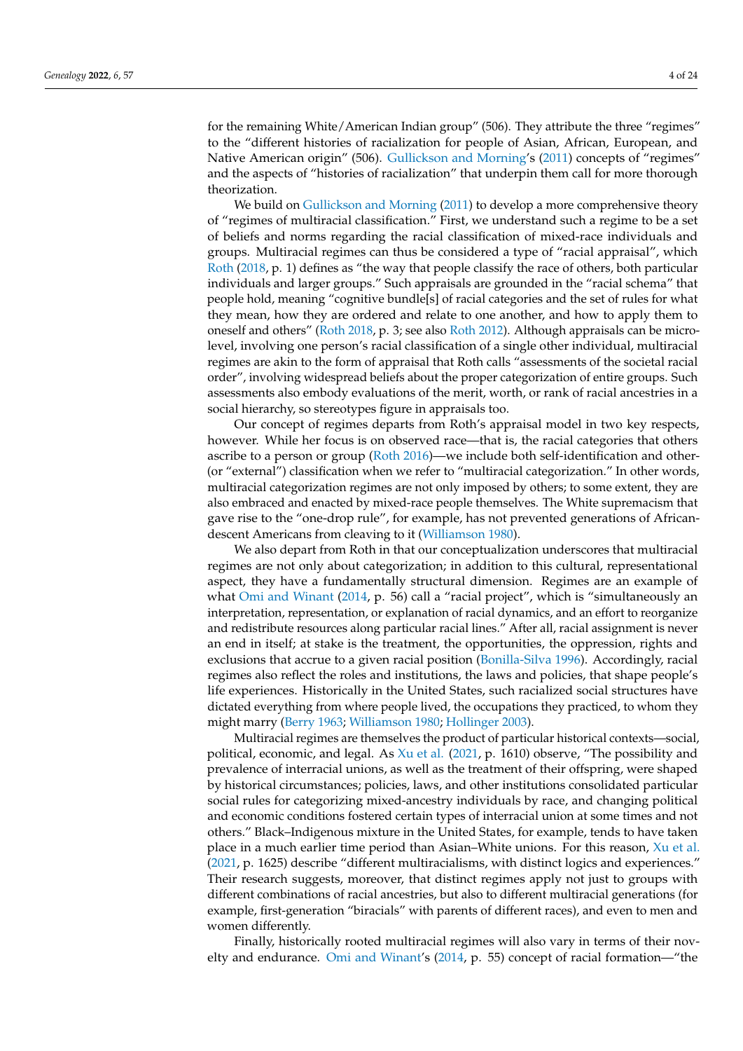for the remaining White/American Indian group" (506). They attribute the three "regimes" to the "different histories of racialization for people of Asian, African, European, and Native American origin" (506). [Gullickson and Morning'](#page-22-5)s [\(2011\)](#page-22-5) concepts of "regimes" and the aspects of "histories of racialization" that underpin them call for more thorough theorization.

We build on [Gullickson and Morning](#page-22-5) [\(2011\)](#page-22-5) to develop a more comprehensive theory of "regimes of multiracial classification." First, we understand such a regime to be a set of beliefs and norms regarding the racial classification of mixed-race individuals and groups. Multiracial regimes can thus be considered a type of "racial appraisal", which [Roth](#page-23-6) [\(2018,](#page-23-6) p. 1) defines as "the way that people classify the race of others, both particular individuals and larger groups." Such appraisals are grounded in the "racial schema" that people hold, meaning "cognitive bundle[s] of racial categories and the set of rules for what they mean, how they are ordered and relate to one another, and how to apply them to oneself and others" [\(Roth](#page-23-6) [2018,](#page-23-6) p. 3; see also [Roth](#page-23-9) [2012\)](#page-23-9). Although appraisals can be microlevel, involving one person's racial classification of a single other individual, multiracial regimes are akin to the form of appraisal that Roth calls "assessments of the societal racial order", involving widespread beliefs about the proper categorization of entire groups. Such assessments also embody evaluations of the merit, worth, or rank of racial ancestries in a social hierarchy, so stereotypes figure in appraisals too.

Our concept of regimes departs from Roth's appraisal model in two key respects, however. While her focus is on observed race—that is, the racial categories that others ascribe to a person or group [\(Roth](#page-23-10) [2016\)](#page-23-10)—we include both self-identification and other- (or "external") classification when we refer to "multiracial categorization." In other words, multiracial categorization regimes are not only imposed by others; to some extent, they are also embraced and enacted by mixed-race people themselves. The White supremacism that gave rise to the "one-drop rule", for example, has not prevented generations of Africandescent Americans from cleaving to it [\(Williamson](#page-23-11) [1980\)](#page-23-11).

We also depart from Roth in that our conceptualization underscores that multiracial regimes are not only about categorization; in addition to this cultural, representational aspect, they have a fundamentally structural dimension. Regimes are an example of what [Omi and Winant](#page-23-12) [\(2014,](#page-23-12) p. 56) call a "racial project", which is "simultaneously an interpretation, representation, or explanation of racial dynamics, and an effort to reorganize and redistribute resources along particular racial lines." After all, racial assignment is never an end in itself; at stake is the treatment, the opportunities, the oppression, rights and exclusions that accrue to a given racial position [\(Bonilla-Silva](#page-22-6) [1996\)](#page-22-6). Accordingly, racial regimes also reflect the roles and institutions, the laws and policies, that shape people's life experiences. Historically in the United States, such racialized social structures have dictated everything from where people lived, the occupations they practiced, to whom they might marry [\(Berry](#page-22-7) [1963;](#page-22-7) [Williamson](#page-23-11) [1980;](#page-23-11) [Hollinger](#page-22-1) [2003\)](#page-22-1).

Multiracial regimes are themselves the product of particular historical contexts—social, political, economic, and legal. As [Xu et al.](#page-23-13) [\(2021,](#page-23-13) p. 1610) observe, "The possibility and prevalence of interracial unions, as well as the treatment of their offspring, were shaped by historical circumstances; policies, laws, and other institutions consolidated particular social rules for categorizing mixed-ancestry individuals by race, and changing political and economic conditions fostered certain types of interracial union at some times and not others." Black–Indigenous mixture in the United States, for example, tends to have taken place in a much earlier time period than Asian–White unions. For this reason, [Xu et al.](#page-23-13) [\(2021,](#page-23-13) p. 1625) describe "different multiracialisms, with distinct logics and experiences." Their research suggests, moreover, that distinct regimes apply not just to groups with different combinations of racial ancestries, but also to different multiracial generations (for example, first-generation "biracials" with parents of different races), and even to men and women differently.

Finally, historically rooted multiracial regimes will also vary in terms of their novelty and endurance. [Omi and Winant'](#page-23-12)s [\(2014,](#page-23-12) p. 55) concept of racial formation—"the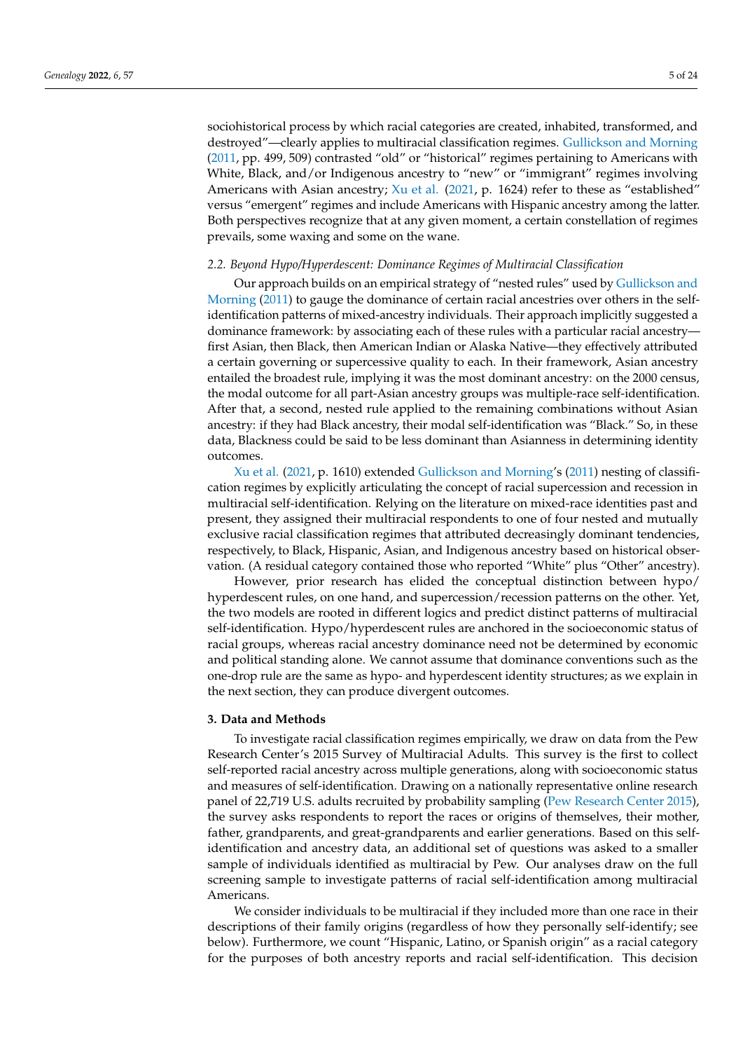sociohistorical process by which racial categories are created, inhabited, transformed, and destroyed"—clearly applies to multiracial classification regimes. [Gullickson and Morning](#page-22-5) [\(2011,](#page-22-5) pp. 499, 509) contrasted "old" or "historical" regimes pertaining to Americans with White, Black, and/or Indigenous ancestry to "new" or "immigrant" regimes involving Americans with Asian ancestry; [Xu et al.](#page-23-13) [\(2021,](#page-23-13) p. 1624) refer to these as "established" versus "emergent" regimes and include Americans with Hispanic ancestry among the latter. Both perspectives recognize that at any given moment, a certain constellation of regimes prevails, some waxing and some on the wane.

## *2.2. Beyond Hypo/Hyperdescent: Dominance Regimes of Multiracial Classification*

Our approach builds on an empirical strategy of "nested rules" used by [Gullickson and](#page-22-5) [Morning](#page-22-5) [\(2011\)](#page-22-5) to gauge the dominance of certain racial ancestries over others in the selfidentification patterns of mixed-ancestry individuals. Their approach implicitly suggested a dominance framework: by associating each of these rules with a particular racial ancestry first Asian, then Black, then American Indian or Alaska Native—they effectively attributed a certain governing or supercessive quality to each. In their framework, Asian ancestry entailed the broadest rule, implying it was the most dominant ancestry: on the 2000 census, the modal outcome for all part-Asian ancestry groups was multiple-race self-identification. After that, a second, nested rule applied to the remaining combinations without Asian ancestry: if they had Black ancestry, their modal self-identification was "Black." So, in these data, Blackness could be said to be less dominant than Asianness in determining identity outcomes.

[Xu et al.](#page-23-13) [\(2021,](#page-23-13) p. 1610) extended [Gullickson and Morning'](#page-22-5)s [\(2011\)](#page-22-5) nesting of classification regimes by explicitly articulating the concept of racial supercession and recession in multiracial self-identification. Relying on the literature on mixed-race identities past and present, they assigned their multiracial respondents to one of four nested and mutually exclusive racial classification regimes that attributed decreasingly dominant tendencies, respectively, to Black, Hispanic, Asian, and Indigenous ancestry based on historical observation. (A residual category contained those who reported "White" plus "Other" ancestry).

However, prior research has elided the conceptual distinction between hypo/ hyperdescent rules, on one hand, and supercession/recession patterns on the other. Yet, the two models are rooted in different logics and predict distinct patterns of multiracial self-identification. Hypo/hyperdescent rules are anchored in the socioeconomic status of racial groups, whereas racial ancestry dominance need not be determined by economic and political standing alone. We cannot assume that dominance conventions such as the one-drop rule are the same as hypo- and hyperdescent identity structures; as we explain in the next section, they can produce divergent outcomes.

### **3. Data and Methods**

To investigate racial classification regimes empirically, we draw on data from the Pew Research Center's 2015 Survey of Multiracial Adults. This survey is the first to collect self-reported racial ancestry across multiple generations, along with socioeconomic status and measures of self-identification. Drawing on a nationally representative online research panel of 22,719 U.S. adults recruited by probability sampling [\(Pew Research Center](#page-23-14) [2015\)](#page-23-14), the survey asks respondents to report the races or origins of themselves, their mother, father, grandparents, and great-grandparents and earlier generations. Based on this selfidentification and ancestry data, an additional set of questions was asked to a smaller sample of individuals identified as multiracial by Pew. Our analyses draw on the full screening sample to investigate patterns of racial self-identification among multiracial Americans.

We consider individuals to be multiracial if they included more than one race in their descriptions of their family origins (regardless of how they personally self-identify; see below). Furthermore, we count "Hispanic, Latino, or Spanish origin" as a racial category for the purposes of both ancestry reports and racial self-identification. This decision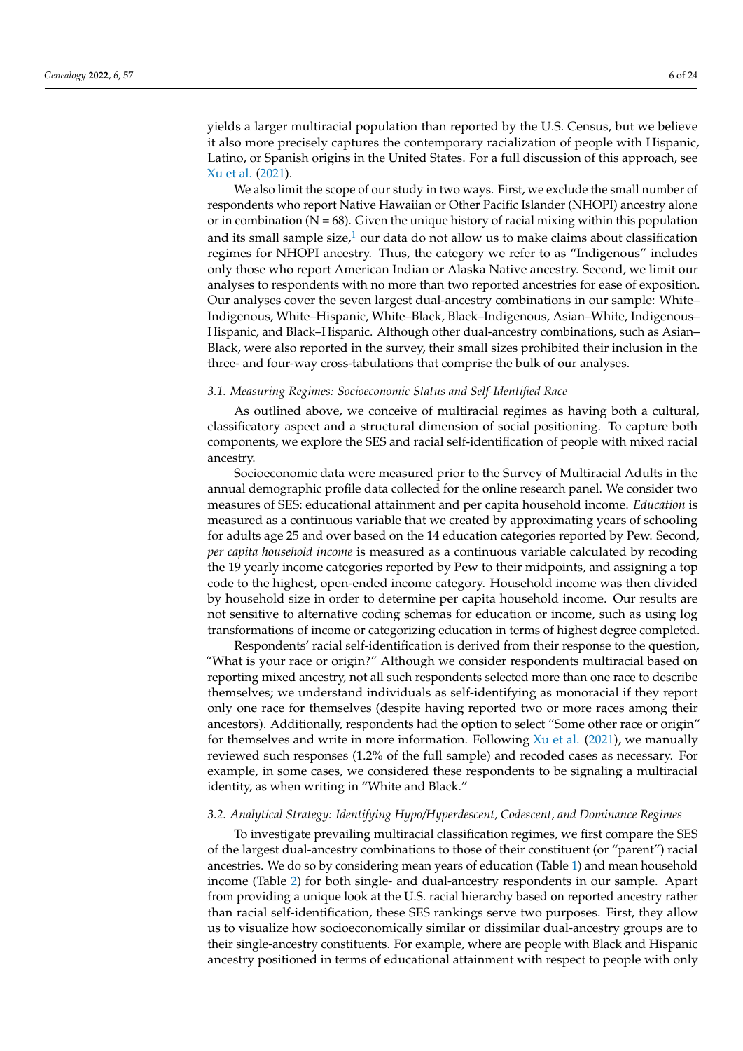yields a larger multiracial population than reported by the U.S. Census, but we believe it also more precisely captures the contemporary racialization of people with Hispanic, Latino, or Spanish origins in the United States. For a full discussion of this approach, see [Xu et al.](#page-23-13) [\(2021\)](#page-23-13).

<span id="page-5-0"></span>We also limit the scope of our study in two ways. First, we exclude the small number of respondents who report Native Hawaiian or Other Pacific Islander (NHOPI) ancestry alone or in combination ( $N = 68$ ). Given the unique history of racial mixing within this population and its small sample size, $1$  our data do not allow us to make claims about classification regimes for NHOPI ancestry. Thus, the category we refer to as "Indigenous" includes only those who report American Indian or Alaska Native ancestry. Second, we limit our analyses to respondents with no more than two reported ancestries for ease of exposition. Our analyses cover the seven largest dual-ancestry combinations in our sample: White– Indigenous, White–Hispanic, White–Black, Black–Indigenous, Asian–White, Indigenous– Hispanic, and Black–Hispanic. Although other dual-ancestry combinations, such as Asian– Black, were also reported in the survey, their small sizes prohibited their inclusion in the three- and four-way cross-tabulations that comprise the bulk of our analyses.

# *3.1. Measuring Regimes: Socioeconomic Status and Self-Identified Race*

As outlined above, we conceive of multiracial regimes as having both a cultural, classificatory aspect and a structural dimension of social positioning. To capture both components, we explore the SES and racial self-identification of people with mixed racial ancestry.

Socioeconomic data were measured prior to the Survey of Multiracial Adults in the annual demographic profile data collected for the online research panel. We consider two measures of SES: educational attainment and per capita household income. *Education* is measured as a continuous variable that we created by approximating years of schooling for adults age 25 and over based on the 14 education categories reported by Pew. Second, *per capita household income* is measured as a continuous variable calculated by recoding the 19 yearly income categories reported by Pew to their midpoints, and assigning a top code to the highest, open-ended income category. Household income was then divided by household size in order to determine per capita household income. Our results are not sensitive to alternative coding schemas for education or income, such as using log transformations of income or categorizing education in terms of highest degree completed.

Respondents' racial self-identification is derived from their response to the question, "What is your race or origin?" Although we consider respondents multiracial based on reporting mixed ancestry, not all such respondents selected more than one race to describe themselves; we understand individuals as self-identifying as monoracial if they report only one race for themselves (despite having reported two or more races among their ancestors). Additionally, respondents had the option to select "Some other race or origin" for themselves and write in more information. Following  $Xu$  et al. [\(2021\)](#page-23-13), we manually reviewed such responses (1.2% of the full sample) and recoded cases as necessary. For example, in some cases, we considered these respondents to be signaling a multiracial identity, as when writing in "White and Black."

#### *3.2. Analytical Strategy: Identifying Hypo/Hyperdescent, Codescent, and Dominance Regimes*

To investigate prevailing multiracial classification regimes, we first compare the SES of the largest dual-ancestry combinations to those of their constituent (or "parent") racial ancestries. We do so by considering mean years of education (Table [1\)](#page-6-0) and mean household income (Table [2\)](#page-6-1) for both single- and dual-ancestry respondents in our sample. Apart from providing a unique look at the U.S. racial hierarchy based on reported ancestry rather than racial self-identification, these SES rankings serve two purposes. First, they allow us to visualize how socioeconomically similar or dissimilar dual-ancestry groups are to their single-ancestry constituents. For example, where are people with Black and Hispanic ancestry positioned in terms of educational attainment with respect to people with only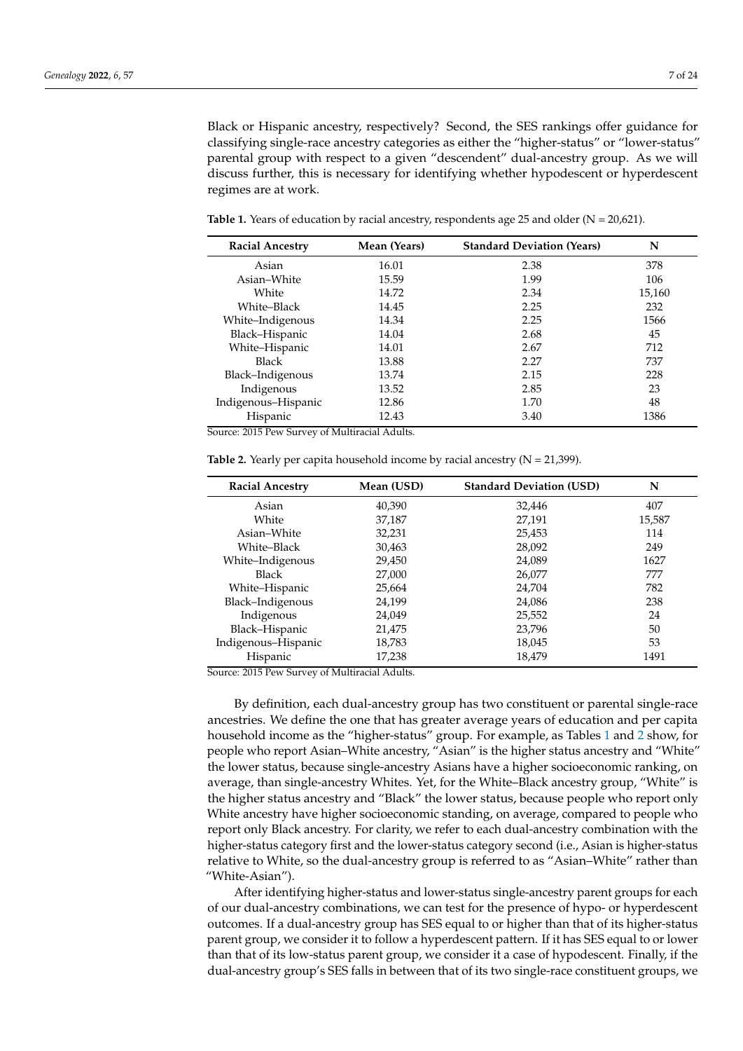Black or Hispanic ancestry, respectively? Second, the SES rankings offer guidance for classifying single-race ancestry categories as either the "higher-status" or "lower-status" parental group with respect to a given "descendent" dual-ancestry group. As we will discuss further, this is necessary for identifying whether hypodescent or hyperdescent regimes are at work.

| <b>Racial Ancestry</b> | Mean (Years) | <b>Standard Deviation (Years)</b> | N      |
|------------------------|--------------|-----------------------------------|--------|
| Asian                  | 16.01        | 2.38                              | 378    |
| Asian-White            | 15.59        | 1.99                              | 106    |
| White                  | 14.72        | 2.34                              | 15,160 |
| White-Black            | 14.45        | 2.25                              | 232    |
| White-Indigenous       | 14.34        | 2.25                              | 1566   |
| Black-Hispanic         | 14.04        | 2.68                              | 45     |
| White-Hispanic         | 14.01        | 2.67                              | 712    |
| <b>Black</b>           | 13.88        | 2.27                              | 737    |
| Black-Indigenous       | 13.74        | 2.15                              | 228    |
| Indigenous             | 13.52        | 2.85                              | 23     |
| Indigenous-Hispanic    | 12.86        | 1.70                              | 48     |
| Hispanic               | 12.43        | 3.40                              | 1386   |

<span id="page-6-0"></span>**Table 1.** Years of education by racial ancestry, respondents age 25 and older ( $N = 20,621$ ).

Source: 2015 Pew Survey of Multiracial Adults.

<span id="page-6-1"></span>

|  |  |  |  |  | <b>Table 2.</b> Yearly per capita household income by racial ancestry $(N = 21,399)$ . |  |
|--|--|--|--|--|----------------------------------------------------------------------------------------|--|
|  |  |  |  |  |                                                                                        |  |

| <b>Racial Ancestry</b> | Mean (USD) | <b>Standard Deviation (USD)</b> | N      |
|------------------------|------------|---------------------------------|--------|
| Asian                  | 40,390     | 32,446                          | 407    |
| White                  | 37,187     | 27,191                          | 15,587 |
| Asian–White            | 32,231     | 25,453                          | 114    |
| White–Black            | 30,463     | 28,092                          | 249    |
| White-Indigenous       | 29,450     | 24,089                          | 1627   |
| Black                  | 27,000     | 26,077                          | 777    |
| White-Hispanic         | 25,664     | 24,704                          | 782    |
| Black-Indigenous       | 24,199     | 24,086                          | 238    |
| Indigenous             | 24,049     | 25,552                          | 24     |
| Black-Hispanic         | 21,475     | 23,796                          | 50     |
| Indigenous-Hispanic    | 18,783     | 18,045                          | 53     |
| Hispanic               | 17,238     | 18.479                          | 1491   |

Source: 2015 Pew Survey of Multiracial Adults.

By definition, each dual-ancestry group has two constituent or parental single-race ancestries. We define the one that has greater average years of education and per capita household income as the "higher-status" group. For example, as Tables [1](#page-6-0) and [2](#page-6-1) show, for people who report Asian–White ancestry, "Asian" is the higher status ancestry and "White" the lower status, because single-ancestry Asians have a higher socioeconomic ranking, on average, than single-ancestry Whites. Yet, for the White–Black ancestry group, "White" is the higher status ancestry and "Black" the lower status, because people who report only White ancestry have higher socioeconomic standing, on average, compared to people who report only Black ancestry. For clarity, we refer to each dual-ancestry combination with the higher-status category first and the lower-status category second (i.e., Asian is higher-status relative to White, so the dual-ancestry group is referred to as "Asian–White" rather than "White-Asian").

After identifying higher-status and lower-status single-ancestry parent groups for each of our dual-ancestry combinations, we can test for the presence of hypo- or hyperdescent outcomes. If a dual-ancestry group has SES equal to or higher than that of its higher-status parent group, we consider it to follow a hyperdescent pattern. If it has SES equal to or lower than that of its low-status parent group, we consider it a case of hypodescent. Finally, if the dual-ancestry group's SES falls in between that of its two single-race constituent groups, we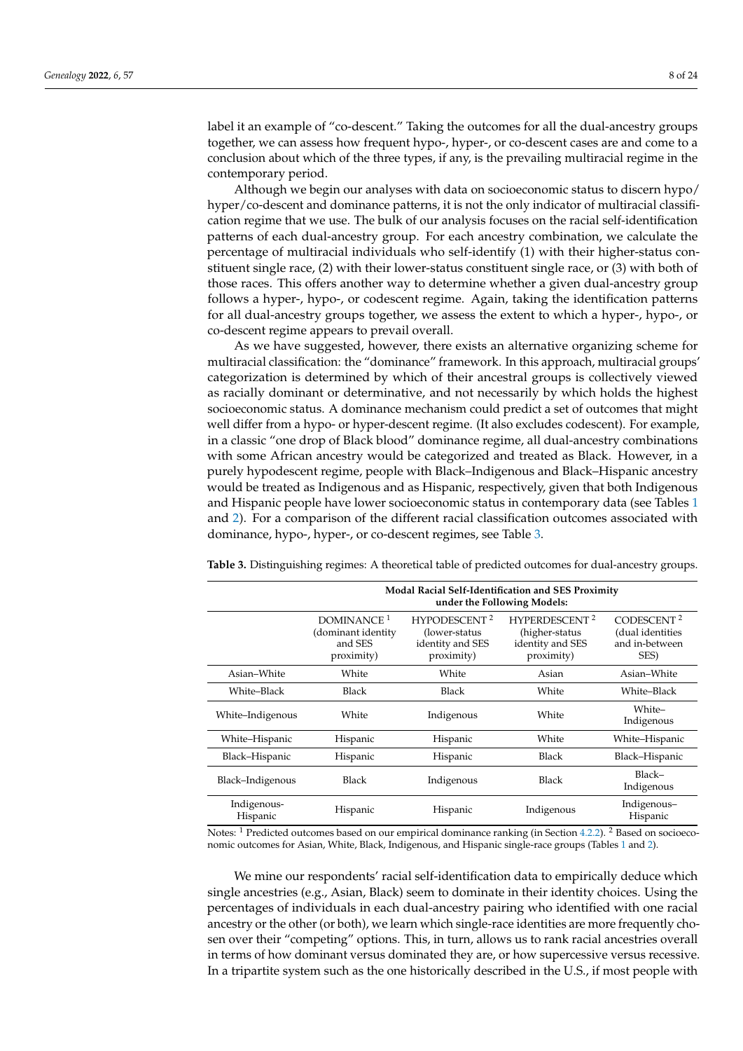label it an example of "co-descent." Taking the outcomes for all the dual-ancestry groups together, we can assess how frequent hypo-, hyper-, or co-descent cases are and come to a conclusion about which of the three types, if any, is the prevailing multiracial regime in the contemporary period.

Although we begin our analyses with data on socioeconomic status to discern hypo/ hyper/co-descent and dominance patterns, it is not the only indicator of multiracial classification regime that we use. The bulk of our analysis focuses on the racial self-identification patterns of each dual-ancestry group. For each ancestry combination, we calculate the percentage of multiracial individuals who self-identify (1) with their higher-status constituent single race, (2) with their lower-status constituent single race, or (3) with both of those races. This offers another way to determine whether a given dual-ancestry group follows a hyper-, hypo-, or codescent regime. Again, taking the identification patterns for all dual-ancestry groups together, we assess the extent to which a hyper-, hypo-, or co-descent regime appears to prevail overall.

As we have suggested, however, there exists an alternative organizing scheme for multiracial classification: the "dominance" framework. In this approach, multiracial groups' categorization is determined by which of their ancestral groups is collectively viewed as racially dominant or determinative, and not necessarily by which holds the highest socioeconomic status. A dominance mechanism could predict a set of outcomes that might well differ from a hypo- or hyper-descent regime. (It also excludes codescent). For example, in a classic "one drop of Black blood" dominance regime, all dual-ancestry combinations with some African ancestry would be categorized and treated as Black. However, in a purely hypodescent regime, people with Black–Indigenous and Black–Hispanic ancestry would be treated as Indigenous and as Hispanic, respectively, given that both Indigenous and Hispanic people have lower socioeconomic status in contemporary data (see Tables [1](#page-6-0) and [2\)](#page-6-1). For a comparison of the different racial classification outcomes associated with dominance, hypo-, hyper-, or co-descent regimes, see Table [3.](#page-7-0)

|                         | <b>Modal Racial Self-Identification and SES Proximity</b><br>under the Following Models: |                                                                              |                                                                           |                                                                      |  |  |  |  |  |
|-------------------------|------------------------------------------------------------------------------------------|------------------------------------------------------------------------------|---------------------------------------------------------------------------|----------------------------------------------------------------------|--|--|--|--|--|
|                         | DOMINANCE <sup>1</sup><br>(dominant identity<br>and SES<br>proximity)                    | HYPODESCENT <sup>2</sup><br>(lower-status)<br>identity and SES<br>proximity) | <b>HYPERDESCENT 2</b><br>(higher-status<br>identity and SES<br>proximity) | CODESCENT <sup>2</sup><br>(dual identities<br>and in-between<br>SES) |  |  |  |  |  |
| Asian–White             | White                                                                                    | White                                                                        | Asian                                                                     | Asian-White                                                          |  |  |  |  |  |
| White-Black             | Black                                                                                    | <b>Black</b>                                                                 | White                                                                     | White-Black                                                          |  |  |  |  |  |
| White–Indigenous        | White                                                                                    | Indigenous                                                                   | White                                                                     | White-<br>Indigenous                                                 |  |  |  |  |  |
| White-Hispanic          | Hispanic                                                                                 | Hispanic                                                                     | White                                                                     | White-Hispanic                                                       |  |  |  |  |  |
| Black-Hispanic          | Hispanic                                                                                 | Hispanic                                                                     | Black                                                                     | Black-Hispanic                                                       |  |  |  |  |  |
| Black-Indigenous        | Black                                                                                    | Indigenous                                                                   | Black                                                                     | Black-<br>Indigenous                                                 |  |  |  |  |  |
| Indigenous-<br>Hispanic | Hispanic                                                                                 | Hispanic                                                                     | Indigenous                                                                | Indigenous-<br>Hispanic                                              |  |  |  |  |  |

<span id="page-7-0"></span>**Table 3.** Distinguishing regimes: A theoretical table of predicted outcomes for dual-ancestry groups.

Notes: <sup>1</sup> Predicted outcomes based on our empirical dominance ranking (in Section [4.2.2\)](#page-11-0). <sup>2</sup> Based on socioeconomic outcomes for Asian, White, Black, Indigenous, and Hispanic single-race groups (Tables [1](#page-6-0) and [2\)](#page-6-1).

We mine our respondents' racial self-identification data to empirically deduce which single ancestries (e.g., Asian, Black) seem to dominate in their identity choices. Using the percentages of individuals in each dual-ancestry pairing who identified with one racial ancestry or the other (or both), we learn which single-race identities are more frequently chosen over their "competing" options. This, in turn, allows us to rank racial ancestries overall in terms of how dominant versus dominated they are, or how supercessive versus recessive. In a tripartite system such as the one historically described in the U.S., if most people with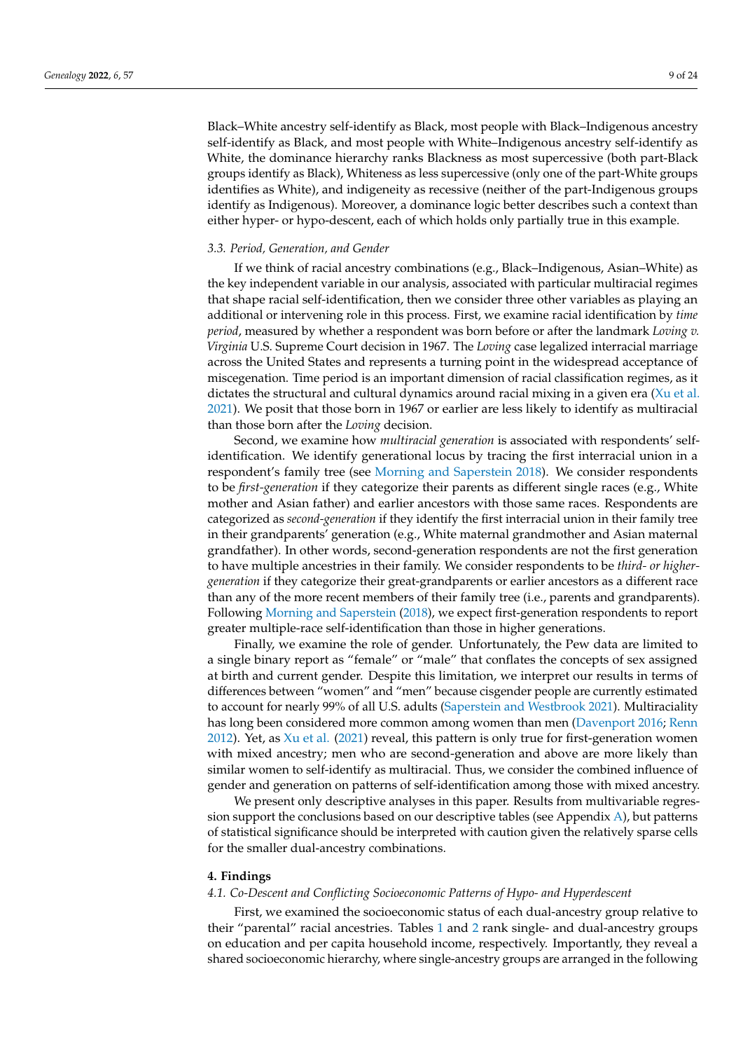Black–White ancestry self-identify as Black, most people with Black–Indigenous ancestry self-identify as Black, and most people with White–Indigenous ancestry self-identify as White, the dominance hierarchy ranks Blackness as most supercessive (both part-Black groups identify as Black), Whiteness as less supercessive (only one of the part-White groups identifies as White), and indigeneity as recessive (neither of the part-Indigenous groups identify as Indigenous). Moreover, a dominance logic better describes such a context than either hyper- or hypo-descent, each of which holds only partially true in this example.

## *3.3. Period, Generation, and Gender*

If we think of racial ancestry combinations (e.g., Black–Indigenous, Asian–White) as the key independent variable in our analysis, associated with particular multiracial regimes that shape racial self-identification, then we consider three other variables as playing an additional or intervening role in this process. First, we examine racial identification by *time period*, measured by whether a respondent was born before or after the landmark *Loving v. Virginia* U.S. Supreme Court decision in 1967. The *Loving* case legalized interracial marriage across the United States and represents a turning point in the widespread acceptance of miscegenation. Time period is an important dimension of racial classification regimes, as it dictates the structural and cultural dynamics around racial mixing in a given era [\(Xu et al.](#page-23-13) [2021\)](#page-23-13). We posit that those born in 1967 or earlier are less likely to identify as multiracial than those born after the *Loving* decision.

Second, we examine how *multiracial generation* is associated with respondents' selfidentification. We identify generational locus by tracing the first interracial union in a respondent's family tree (see [Morning and Saperstein](#page-23-15) [2018\)](#page-23-15). We consider respondents to be *first-generation* if they categorize their parents as different single races (e.g., White mother and Asian father) and earlier ancestors with those same races. Respondents are categorized as *second-generation* if they identify the first interracial union in their family tree in their grandparents' generation (e.g., White maternal grandmother and Asian maternal grandfather). In other words, second-generation respondents are not the first generation to have multiple ancestries in their family. We consider respondents to be *third- or highergeneration* if they categorize their great-grandparents or earlier ancestors as a different race than any of the more recent members of their family tree (i.e., parents and grandparents). Following [Morning and Saperstein](#page-23-15) [\(2018\)](#page-23-15), we expect first-generation respondents to report greater multiple-race self-identification than those in higher generations.

Finally, we examine the role of gender. Unfortunately, the Pew data are limited to a single binary report as "female" or "male" that conflates the concepts of sex assigned at birth and current gender. Despite this limitation, we interpret our results in terms of differences between "women" and "men" because cisgender people are currently estimated to account for nearly 99% of all U.S. adults [\(Saperstein and Westbrook](#page-23-16) [2021\)](#page-23-16). Multiraciality has long been considered more common among women than men [\(Davenport](#page-22-9) [2016;](#page-22-9) [Renn](#page-23-17) [2012\)](#page-23-17). Yet, as  $Xu$  et al. [\(2021\)](#page-23-13) reveal, this pattern is only true for first-generation women with mixed ancestry; men who are second-generation and above are more likely than similar women to self-identify as multiracial. Thus, we consider the combined influence of gender and generation on patterns of self-identification among those with mixed ancestry.

We present only descriptive analyses in this paper. Results from multivariable regression support the conclusions based on our descriptive tables (see Appendix [A\)](#page-20-0), but patterns of statistical significance should be interpreted with caution given the relatively sparse cells for the smaller dual-ancestry combinations.

#### **4. Findings**

# *4.1. Co-Descent and Conflicting Socioeconomic Patterns of Hypo- and Hyperdescent*

First, we examined the socioeconomic status of each dual-ancestry group relative to their "parental" racial ancestries. Tables [1](#page-6-0) and [2](#page-6-1) rank single- and dual-ancestry groups on education and per capita household income, respectively. Importantly, they reveal a shared socioeconomic hierarchy, where single-ancestry groups are arranged in the following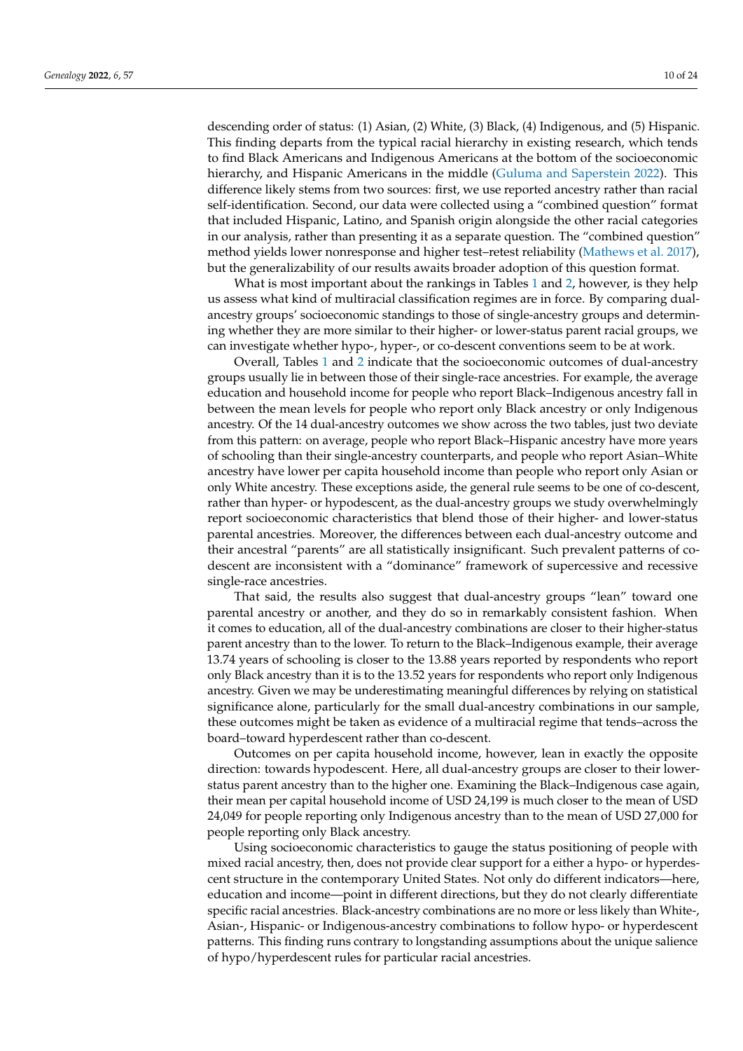descending order of status: (1) Asian, (2) White, (3) Black, (4) Indigenous, and (5) Hispanic. This finding departs from the typical racial hierarchy in existing research, which tends to find Black Americans and Indigenous Americans at the bottom of the socioeconomic hierarchy, and Hispanic Americans in the middle [\(Guluma and Saperstein](#page-22-10) [2022\)](#page-22-10). This difference likely stems from two sources: first, we use reported ancestry rather than racial self-identification. Second, our data were collected using a "combined question" format that included Hispanic, Latino, and Spanish origin alongside the other racial categories in our analysis, rather than presenting it as a separate question. The "combined question" method yields lower nonresponse and higher test–retest reliability [\(Mathews et al.](#page-23-18) [2017\)](#page-23-18), but the generalizability of our results awaits broader adoption of this question format.

What is most important about the rankings in Tables [1](#page-6-0) and [2,](#page-6-1) however, is they help us assess what kind of multiracial classification regimes are in force. By comparing dualancestry groups' socioeconomic standings to those of single-ancestry groups and determining whether they are more similar to their higher- or lower-status parent racial groups, we can investigate whether hypo-, hyper-, or co-descent conventions seem to be at work.

Overall, Tables [1](#page-6-0) and [2](#page-6-1) indicate that the socioeconomic outcomes of dual-ancestry groups usually lie in between those of their single-race ancestries. For example, the average education and household income for people who report Black–Indigenous ancestry fall in between the mean levels for people who report only Black ancestry or only Indigenous ancestry. Of the 14 dual-ancestry outcomes we show across the two tables, just two deviate from this pattern: on average, people who report Black–Hispanic ancestry have more years of schooling than their single-ancestry counterparts, and people who report Asian–White ancestry have lower per capita household income than people who report only Asian or only White ancestry. These exceptions aside, the general rule seems to be one of co-descent, rather than hyper- or hypodescent, as the dual-ancestry groups we study overwhelmingly report socioeconomic characteristics that blend those of their higher- and lower-status parental ancestries. Moreover, the differences between each dual-ancestry outcome and their ancestral "parents" are all statistically insignificant. Such prevalent patterns of codescent are inconsistent with a "dominance" framework of supercessive and recessive single-race ancestries.

That said, the results also suggest that dual-ancestry groups "lean" toward one parental ancestry or another, and they do so in remarkably consistent fashion. When it comes to education, all of the dual-ancestry combinations are closer to their higher-status parent ancestry than to the lower. To return to the Black–Indigenous example, their average 13.74 years of schooling is closer to the 13.88 years reported by respondents who report only Black ancestry than it is to the 13.52 years for respondents who report only Indigenous ancestry. Given we may be underestimating meaningful differences by relying on statistical significance alone, particularly for the small dual-ancestry combinations in our sample, these outcomes might be taken as evidence of a multiracial regime that tends–across the board–toward hyperdescent rather than co-descent.

Outcomes on per capita household income, however, lean in exactly the opposite direction: towards hypodescent. Here, all dual-ancestry groups are closer to their lowerstatus parent ancestry than to the higher one. Examining the Black–Indigenous case again, their mean per capital household income of USD 24,199 is much closer to the mean of USD 24,049 for people reporting only Indigenous ancestry than to the mean of USD 27,000 for people reporting only Black ancestry.

Using socioeconomic characteristics to gauge the status positioning of people with mixed racial ancestry, then, does not provide clear support for a either a hypo- or hyperdescent structure in the contemporary United States. Not only do different indicators—here, education and income—point in different directions, but they do not clearly differentiate specific racial ancestries. Black-ancestry combinations are no more or less likely than White-, Asian-, Hispanic- or Indigenous-ancestry combinations to follow hypo- or hyperdescent patterns. This finding runs contrary to longstanding assumptions about the unique salience of hypo/hyperdescent rules for particular racial ancestries.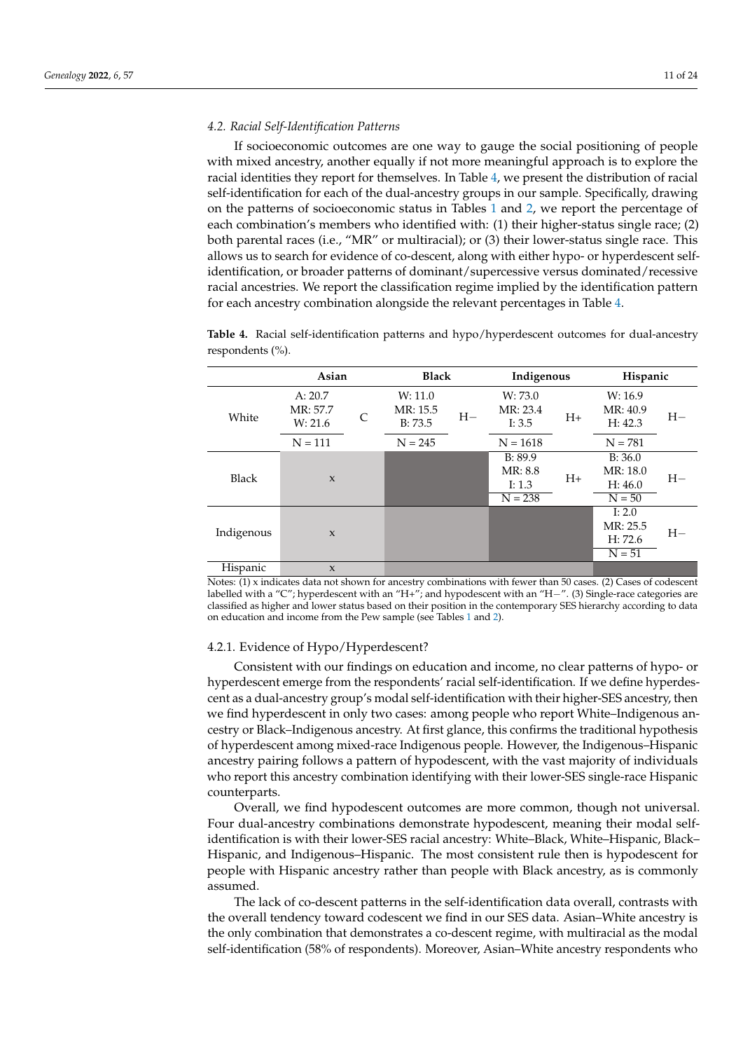## *4.2. Racial Self-Identification Patterns*

If socioeconomic outcomes are one way to gauge the social positioning of people with mixed ancestry, another equally if not more meaningful approach is to explore the racial identities they report for themselves. In Table [4,](#page-10-0) we present the distribution of racial self-identification for each of the dual-ancestry groups in our sample. Specifically, drawing on the patterns of socioeconomic status in Tables [1](#page-6-0) and [2,](#page-6-1) we report the percentage of each combination's members who identified with: (1) their higher-status single race; (2) both parental races (i.e., "MR" or multiracial); or (3) their lower-status single race. This allows us to search for evidence of co-descent, along with either hypo- or hyperdescent selfidentification, or broader patterns of dominant/supercessive versus dominated/recessive racial ancestries. We report the classification regime implied by the identification pattern for each ancestry combination alongside the relevant percentages in Table [4.](#page-10-0)

|              | Asian                          |   |                                | <b>Black</b> |                                             | Indigenous | Hispanic                                    |      |
|--------------|--------------------------------|---|--------------------------------|--------------|---------------------------------------------|------------|---------------------------------------------|------|
| White        | A: 20.7<br>MR: 57.7<br>W: 21.6 | C | W: 11.0<br>MR: 15.5<br>B: 73.5 | $H-$         | W: 73.0<br>MR: 23.4<br>I: 3.5               | $H_{+}$    | W: 16.9<br>MR: 40.9<br>H: 42.3              | $H-$ |
|              | $N = 111$                      |   | $N = 245$                      |              | $N = 1618$                                  |            | $N = 781$                                   |      |
| <b>Black</b> | $\mathbf{x}$                   |   |                                |              | B: 89.9<br>MR: 8.8<br>I: $1.3$<br>$N = 238$ | $H+$       | B: 36.0<br>MR: 18.0<br>H: 46.0<br>$N = 50$  | $H-$ |
| Indigenous   | $\mathbf{x}$                   |   |                                |              |                                             |            | I: $2.0$<br>MR: 25.5<br>H: 72.6<br>$N = 51$ | $H-$ |
| Hispanic     | $\mathbf{x}$                   |   |                                |              |                                             |            |                                             |      |

<span id="page-10-0"></span>**Table 4.** Racial self-identification patterns and hypo/hyperdescent outcomes for dual-ancestry respondents (%).

Notes: (1) x indicates data not shown for ancestry combinations with fewer than 50 cases. (2) Cases of codescent labelled with a "C"; hyperdescent with an "H+"; and hypodescent with an "H−". (3) Single-race categories are classified as higher and lower status based on their position in the contemporary SES hierarchy according to data on education and income from the Pew sample (see Tables [1](#page-6-0) and [2\)](#page-6-1).

# 4.2.1. Evidence of Hypo/Hyperdescent?

Consistent with our findings on education and income, no clear patterns of hypo- or hyperdescent emerge from the respondents' racial self-identification. If we define hyperdescent as a dual-ancestry group's modal self-identification with their higher-SES ancestry, then we find hyperdescent in only two cases: among people who report White–Indigenous ancestry or Black–Indigenous ancestry. At first glance, this confirms the traditional hypothesis of hyperdescent among mixed-race Indigenous people. However, the Indigenous–Hispanic ancestry pairing follows a pattern of hypodescent, with the vast majority of individuals who report this ancestry combination identifying with their lower-SES single-race Hispanic counterparts.

Overall, we find hypodescent outcomes are more common, though not universal. Four dual-ancestry combinations demonstrate hypodescent, meaning their modal selfidentification is with their lower-SES racial ancestry: White–Black, White–Hispanic, Black– Hispanic, and Indigenous–Hispanic. The most consistent rule then is hypodescent for people with Hispanic ancestry rather than people with Black ancestry, as is commonly assumed.

The lack of co-descent patterns in the self-identification data overall, contrasts with the overall tendency toward codescent we find in our SES data. Asian–White ancestry is the only combination that demonstrates a co-descent regime, with multiracial as the modal self-identification (58% of respondents). Moreover, Asian–White ancestry respondents who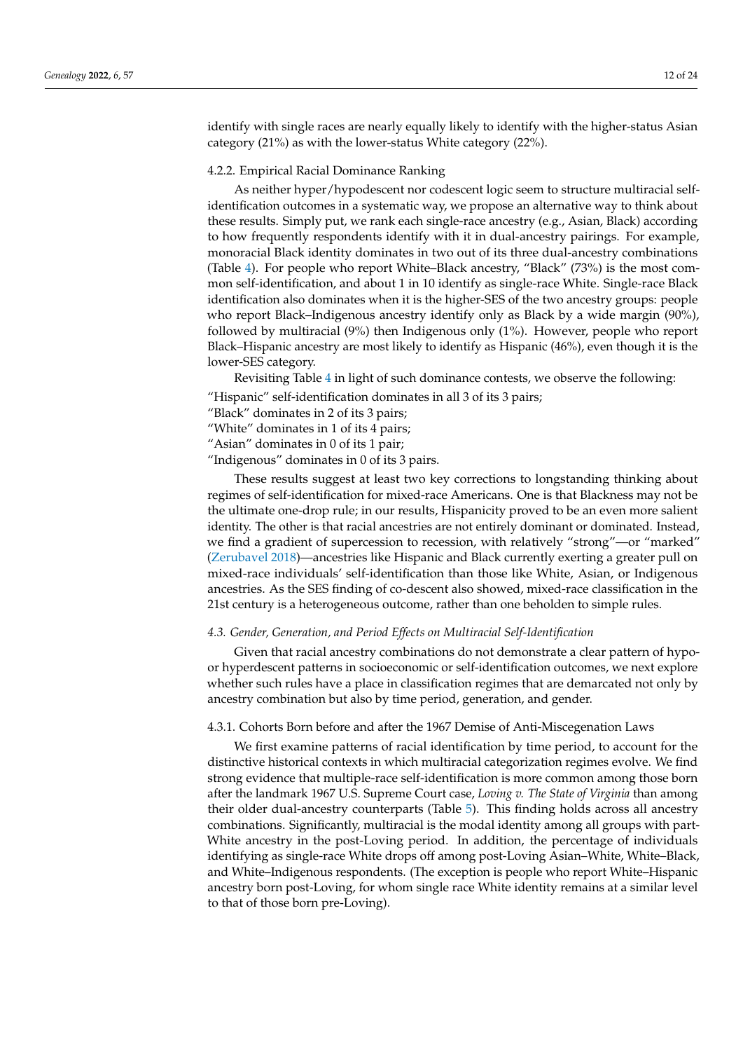identify with single races are nearly equally likely to identify with the higher-status Asian category (21%) as with the lower-status White category (22%).

#### <span id="page-11-0"></span>4.2.2. Empirical Racial Dominance Ranking

As neither hyper/hypodescent nor codescent logic seem to structure multiracial selfidentification outcomes in a systematic way, we propose an alternative way to think about these results. Simply put, we rank each single-race ancestry (e.g., Asian, Black) according to how frequently respondents identify with it in dual-ancestry pairings. For example, monoracial Black identity dominates in two out of its three dual-ancestry combinations (Table [4\)](#page-10-0). For people who report White–Black ancestry, "Black" (73%) is the most common self-identification, and about 1 in 10 identify as single-race White. Single-race Black identification also dominates when it is the higher-SES of the two ancestry groups: people who report Black–Indigenous ancestry identify only as Black by a wide margin (90%), followed by multiracial (9%) then Indigenous only (1%). However, people who report Black–Hispanic ancestry are most likely to identify as Hispanic (46%), even though it is the lower-SES category.

Revisiting Table [4](#page-10-0) in light of such dominance contests, we observe the following:

"Hispanic" self-identification dominates in all 3 of its 3 pairs;

"Black" dominates in 2 of its 3 pairs;

"White" dominates in 1 of its 4 pairs;

"Asian" dominates in 0 of its 1 pair;

"Indigenous" dominates in 0 of its 3 pairs.

These results suggest at least two key corrections to longstanding thinking about regimes of self-identification for mixed-race Americans. One is that Blackness may not be the ultimate one-drop rule; in our results, Hispanicity proved to be an even more salient identity. The other is that racial ancestries are not entirely dominant or dominated. Instead, we find a gradient of supercession to recession, with relatively "strong"—or "marked" [\(Zerubavel](#page-23-19) [2018\)](#page-23-19)—ancestries like Hispanic and Black currently exerting a greater pull on mixed-race individuals' self-identification than those like White, Asian, or Indigenous ancestries. As the SES finding of co-descent also showed, mixed-race classification in the 21st century is a heterogeneous outcome, rather than one beholden to simple rules.

# *4.3. Gender, Generation, and Period Effects on Multiracial Self-Identification*

Given that racial ancestry combinations do not demonstrate a clear pattern of hypoor hyperdescent patterns in socioeconomic or self-identification outcomes, we next explore whether such rules have a place in classification regimes that are demarcated not only by ancestry combination but also by time period, generation, and gender.

### 4.3.1. Cohorts Born before and after the 1967 Demise of Anti-Miscegenation Laws

We first examine patterns of racial identification by time period, to account for the distinctive historical contexts in which multiracial categorization regimes evolve. We find strong evidence that multiple-race self-identification is more common among those born after the landmark 1967 U.S. Supreme Court case, *Loving v. The State of Virginia* than among their older dual-ancestry counterparts (Table [5\)](#page-12-0). This finding holds across all ancestry combinations. Significantly, multiracial is the modal identity among all groups with part-White ancestry in the post-Loving period. In addition, the percentage of individuals identifying as single-race White drops off among post-Loving Asian–White, White–Black, and White–Indigenous respondents. (The exception is people who report White–Hispanic ancestry born post-Loving, for whom single race White identity remains at a similar level to that of those born pre-Loving).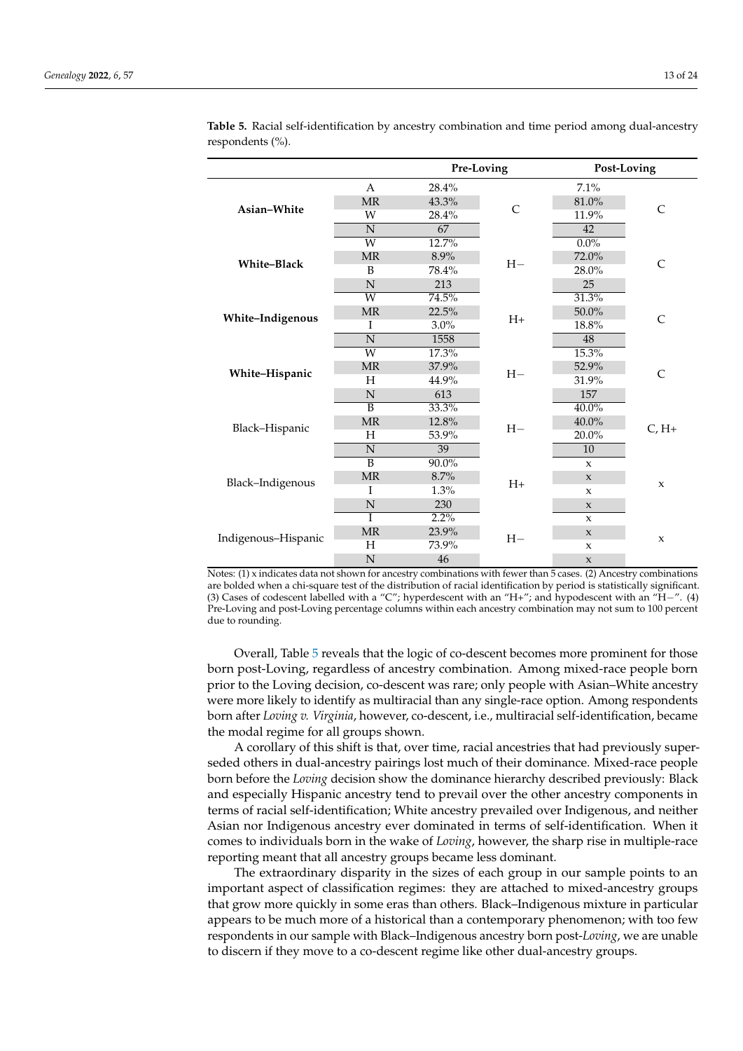|                     |                            | Pre-Loving |              | Post-Loving         |              |  |
|---------------------|----------------------------|------------|--------------|---------------------|--------------|--|
|                     | A                          | 28.4%      |              | 7.1%                |              |  |
|                     | <b>MR</b>                  | 43.3%      | $\mathsf{C}$ | 81.0%               |              |  |
| Asian-White         | W                          | 28.4%      |              | 11.9%               | C            |  |
|                     | N                          | 67         |              | 42                  |              |  |
|                     | $\overline{\text{W}}$      | 12.7%      |              | $0.0\%$             |              |  |
| White-Black         | <b>MR</b>                  | 8.9%       | $H-$         | 72.0%               | $\mathsf{C}$ |  |
|                     | B                          | 78.4%      |              | 28.0%               |              |  |
|                     | N                          | 213        |              | 25                  |              |  |
|                     | $\overline{W}$             | 74.5%      |              | 31.3%               |              |  |
| White-Indigenous    | <b>MR</b>                  | 22.5%      | $H+$         | 50.0%               | C            |  |
|                     | I                          | 3.0%       |              | 18.8%               |              |  |
|                     | N                          | 1558       |              | 48                  |              |  |
|                     | $\overline{\text{W}}$      | 17.3%      |              | 15.3%               |              |  |
| White-Hispanic      | <b>MR</b>                  | 37.9%      | $H-$         | 52.9%               | $\mathsf{C}$ |  |
|                     | H                          | 44.9%      |              | 31.9%               |              |  |
|                     | $\mathbf N$                | 613        |              | 157                 |              |  |
|                     | $\overline{\mathbf{B}}$    | 33.3%      |              | $40.0\%$            |              |  |
| Black-Hispanic      | <b>MR</b>                  | 12.8%      | $H-$         | 40.0%               | $C, H+$      |  |
|                     | H                          | 53.9%      |              | 20.0%               |              |  |
|                     | N                          | 39         |              | 10                  |              |  |
|                     | $\overline{B}$             | $90.0\%$   |              | $\mathbf{x}$        |              |  |
| Black-Indigenous    | $\ensuremath{\mathsf{MR}}$ | 8.7%       | $H+$         | $\mathbf x$         | $\mathbf{x}$ |  |
|                     | I                          | 1.3%       |              | $\mathbf{x}$        |              |  |
|                     | N                          | 230        |              | $\boldsymbol{\chi}$ |              |  |
|                     | T                          | $2.2\%$    |              | $\mathbf{x}$        |              |  |
| Indigenous-Hispanic | <b>MR</b>                  | 23.9%      | $H-$         | $\mathbf x$         | $\mathbf{x}$ |  |
|                     | Н                          | 73.9%      |              | X                   |              |  |
|                     | N                          | 46         |              | $\mathbf x$         |              |  |

<span id="page-12-0"></span>**Table 5.** Racial self-identification by ancestry combination and time period among dual-ancestry respondents (%).

Notes: (1) x indicates data not shown for ancestry combinations with fewer than 5 cases. (2) Ancestry combinations are bolded when a chi-square test of the distribution of racial identification by period is statistically significant. (3) Cases of codescent labelled with a "C"; hyperdescent with an "H+"; and hypodescent with an "H−". (4) Pre-Loving and post-Loving percentage columns within each ancestry combination may not sum to 100 percent due to rounding.

Overall, Table [5](#page-12-0) reveals that the logic of co-descent becomes more prominent for those born post-Loving, regardless of ancestry combination. Among mixed-race people born prior to the Loving decision, co-descent was rare; only people with Asian–White ancestry were more likely to identify as multiracial than any single-race option. Among respondents born after *Loving v. Virginia*, however, co-descent, i.e., multiracial self-identification, became the modal regime for all groups shown.

A corollary of this shift is that, over time, racial ancestries that had previously superseded others in dual-ancestry pairings lost much of their dominance. Mixed-race people born before the *Loving* decision show the dominance hierarchy described previously: Black and especially Hispanic ancestry tend to prevail over the other ancestry components in terms of racial self-identification; White ancestry prevailed over Indigenous, and neither Asian nor Indigenous ancestry ever dominated in terms of self-identification. When it comes to individuals born in the wake of *Loving*, however, the sharp rise in multiple-race reporting meant that all ancestry groups became less dominant.

The extraordinary disparity in the sizes of each group in our sample points to an important aspect of classification regimes: they are attached to mixed-ancestry groups that grow more quickly in some eras than others. Black–Indigenous mixture in particular appears to be much more of a historical than a contemporary phenomenon; with too few respondents in our sample with Black–Indigenous ancestry born post-*Loving*, we are unable to discern if they move to a co-descent regime like other dual-ancestry groups.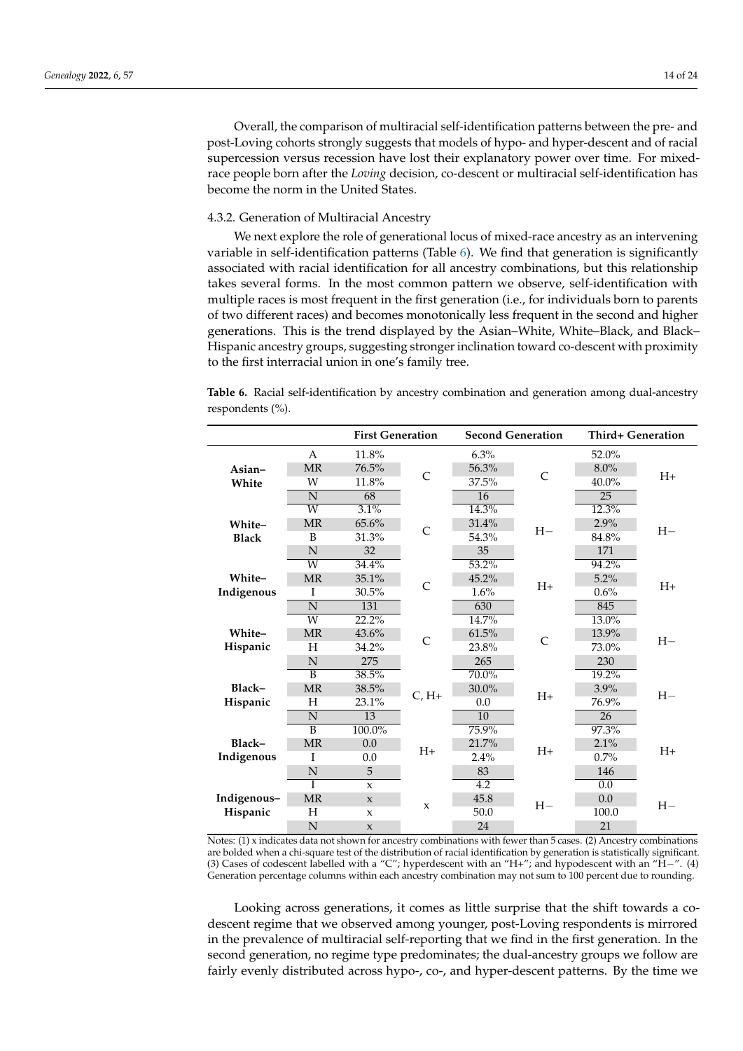Overall, the comparison of multiracial self-identification patterns between the pre- and post-Loving cohorts strongly suggests that models of hypo- and hyper-descent and of racial supercession versus recession have lost their explanatory power over time. For mixedrace people born after the *Loving* decision, co-descent or multiracial self-identification has become the norm in the United States.

# 4.3.2. Generation of Multiracial Ancestry

We next explore the role of generational locus of mixed-race ancestry as an intervening variable in self-identification patterns (Table [6\)](#page-13-0). We find that generation is significantly associated with racial identification for all ancestry combinations, but this relationship takes several forms. In the most common pattern we observe, self-identification with multiple races is most frequent in the first generation (i.e., for individuals born to parents of two different races) and becomes monotonically less frequent in the second and higher generations. This is the trend displayed by the Asian–White, White–Black, and Black– Hispanic ancestry groups, suggesting stronger inclination toward co-descent with proximity to the first interracial union in one's family tree.

<span id="page-13-0"></span>**Table 6.** Racial self-identification by ancestry combination and generation among dual-ancestry respondents (%).

|              |                         | <b>First Generation</b> |                |                  | <b>Second Generation</b> | <b>Third+ Generation</b> |         |  |
|--------------|-------------------------|-------------------------|----------------|------------------|--------------------------|--------------------------|---------|--|
|              | A                       | 11.8%                   |                | 6.3%             |                          | 52.0%                    |         |  |
| Asian-       | <b>MR</b>               | 76.5%                   | $\overline{C}$ | 56.3%            | $\overline{C}$           | $8.0\%$                  |         |  |
| White        | W                       | 11.8%                   |                | 37.5%            |                          | 40.0%                    | $H+$    |  |
|              | N                       | 68                      |                | 16               |                          | 25                       |         |  |
|              | W                       | 3.1%                    |                | 14.3%            |                          | 12.3%                    |         |  |
| White-       | <b>MR</b>               | 65.6%                   | $\overline{C}$ | 31.4%            | $H-$                     | 2.9%                     | $H-$    |  |
| <b>Black</b> | B                       | 31.3%                   |                | 54.3%            |                          | 84.8%                    |         |  |
|              | N                       | 32                      |                | 35               |                          | 171                      |         |  |
|              | $\overline{\text{W}}$   | 34.4%                   |                | 53.2%            |                          | 94.2%                    |         |  |
| White-       | <b>MR</b>               | 35.1%                   | $\overline{C}$ | 45.2%            | $H+$                     | 5.2%                     | $H_{+}$ |  |
| Indigenous   | I                       | 30.5%                   |                | 1.6%             |                          | 0.6%                     |         |  |
|              | $\overline{\mathbf{N}}$ | 131                     |                | 630              |                          | 845                      |         |  |
|              | $\overline{\text{W}}$   | 22.2%                   |                | 14.7%            | $\mathcal{C}$            | $13.0\%$                 | $H -$   |  |
| White-       | <b>MR</b>               | 43.6%                   | $\overline{C}$ | 61.5%            |                          | 13.9%                    |         |  |
| Hispanic     | Н                       | 34.2%                   |                | 23.8%            |                          | 73.0%                    |         |  |
|              | N                       | 275                     |                | 265              |                          | 230                      |         |  |
|              | $\overline{\mathsf{B}}$ | 38.5%                   |                | 70.0%            |                          | 19.2%                    |         |  |
| Black-       | <b>MR</b>               | 38.5%                   | $C, H+$        | 30.0%            | $H+$                     | 3.9%                     | $H-$    |  |
| Hispanic     | H                       | 23.1%                   |                | 0.0              |                          | 76.9%                    |         |  |
|              | N                       | 13                      |                | 10               |                          | 26                       |         |  |
|              | $\overline{\mathsf{B}}$ | 100.0%                  |                | 75.9%            |                          | 97.3%                    |         |  |
| Black-       | <b>MR</b>               | 0.0                     | $H+$           | 21.7%            | $H+$                     | 2.1%                     | $H_{+}$ |  |
| Indigenous   | I                       | 0.0                     |                | 2.4%             |                          | 0.7%                     |         |  |
|              | N                       | 5                       |                | 83               |                          | 146                      |         |  |
|              |                         | $\mathbf{x}$            |                | $\overline{4.2}$ |                          | 0.0                      |         |  |
| Indigenous-  | <b>MR</b>               | $\mathbf{x}$            | $\mathbf{x}$   | 45.8             | $H-$                     | 0.0                      | $H-$    |  |
| Hispanic     | Н                       | $\mathbf{x}$            |                | 50.0             |                          | 100.0                    |         |  |
|              | N                       | $\mathbf{x}$            |                | 24               |                          | 21                       |         |  |

Notes: (1) x indicates data not shown for ancestry combinations with fewer than 5 cases. (2) Ancestry combinations are bolded when a chi-square test of the distribution of racial identification by generation is statistically significant. (3) Cases of codescent labelled with a "C"; hyperdescent with an "H+"; and hypodescent with an "H−". (4) Generation percentage columns within each ancestry combination may not sum to 100 percent due to rounding.

Looking across generations, it comes as little surprise that the shift towards a codescent regime that we observed among younger, post-Loving respondents is mirrored in the prevalence of multiracial self-reporting that we find in the first generation. In the second generation, no regime type predominates; the dual-ancestry groups we follow are fairly evenly distributed across hypo-, co-, and hyper-descent patterns. By the time we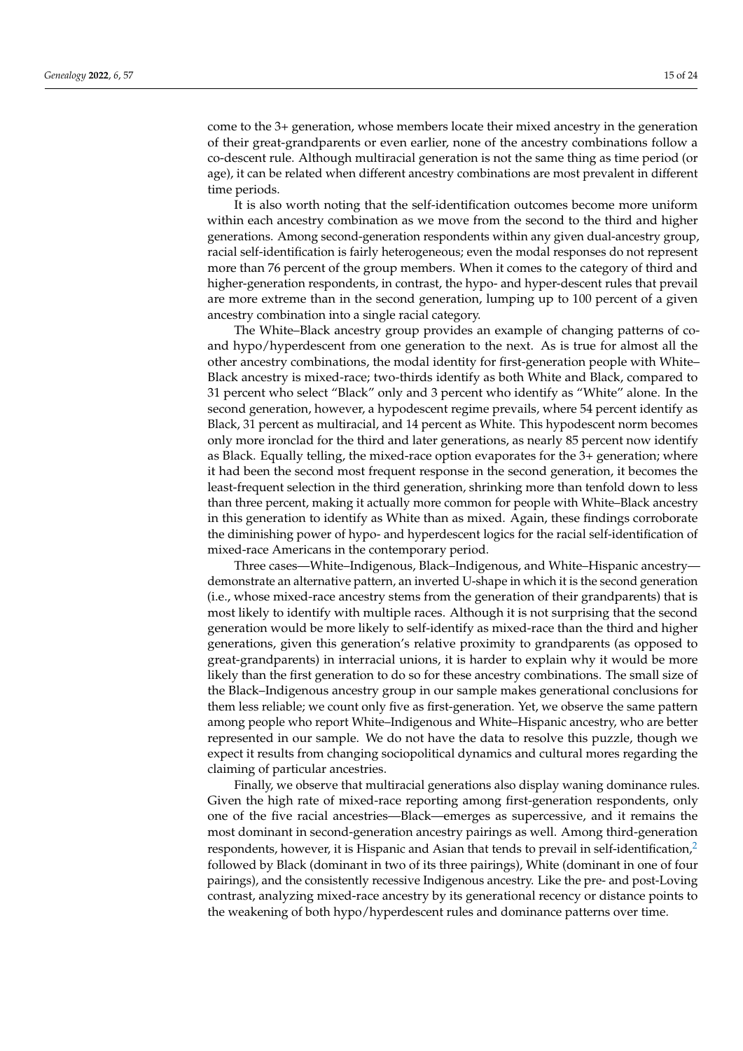come to the 3+ generation, whose members locate their mixed ancestry in the generation of their great-grandparents or even earlier, none of the ancestry combinations follow a co-descent rule. Although multiracial generation is not the same thing as time period (or age), it can be related when different ancestry combinations are most prevalent in different time periods.

It is also worth noting that the self-identification outcomes become more uniform within each ancestry combination as we move from the second to the third and higher generations. Among second-generation respondents within any given dual-ancestry group, racial self-identification is fairly heterogeneous; even the modal responses do not represent more than 76 percent of the group members. When it comes to the category of third and higher-generation respondents, in contrast, the hypo- and hyper-descent rules that prevail are more extreme than in the second generation, lumping up to 100 percent of a given ancestry combination into a single racial category.

The White–Black ancestry group provides an example of changing patterns of coand hypo/hyperdescent from one generation to the next. As is true for almost all the other ancestry combinations, the modal identity for first-generation people with White– Black ancestry is mixed-race; two-thirds identify as both White and Black, compared to 31 percent who select "Black" only and 3 percent who identify as "White" alone. In the second generation, however, a hypodescent regime prevails, where 54 percent identify as Black, 31 percent as multiracial, and 14 percent as White. This hypodescent norm becomes only more ironclad for the third and later generations, as nearly 85 percent now identify as Black. Equally telling, the mixed-race option evaporates for the 3+ generation; where it had been the second most frequent response in the second generation, it becomes the least-frequent selection in the third generation, shrinking more than tenfold down to less than three percent, making it actually more common for people with White–Black ancestry in this generation to identify as White than as mixed. Again, these findings corroborate the diminishing power of hypo- and hyperdescent logics for the racial self-identification of mixed-race Americans in the contemporary period.

Three cases—White–Indigenous, Black–Indigenous, and White–Hispanic ancestry demonstrate an alternative pattern, an inverted U-shape in which it is the second generation (i.e., whose mixed-race ancestry stems from the generation of their grandparents) that is most likely to identify with multiple races. Although it is not surprising that the second generation would be more likely to self-identify as mixed-race than the third and higher generations, given this generation's relative proximity to grandparents (as opposed to great-grandparents) in interracial unions, it is harder to explain why it would be more likely than the first generation to do so for these ancestry combinations. The small size of the Black–Indigenous ancestry group in our sample makes generational conclusions for them less reliable; we count only five as first-generation. Yet, we observe the same pattern among people who report White–Indigenous and White–Hispanic ancestry, who are better represented in our sample. We do not have the data to resolve this puzzle, though we expect it results from changing sociopolitical dynamics and cultural mores regarding the claiming of particular ancestries.

<span id="page-14-0"></span>Finally, we observe that multiracial generations also display waning dominance rules. Given the high rate of mixed-race reporting among first-generation respondents, only one of the five racial ancestries—Black—emerges as supercessive, and it remains the most dominant in second-generation ancestry pairings as well. Among third-generation respondents, however, it is Hispanic and Asian that tends to prevail in self-identification,<sup>[2](#page-22-11)</sup> followed by Black (dominant in two of its three pairings), White (dominant in one of four pairings), and the consistently recessive Indigenous ancestry. Like the pre- and post-Loving contrast, analyzing mixed-race ancestry by its generational recency or distance points to the weakening of both hypo/hyperdescent rules and dominance patterns over time.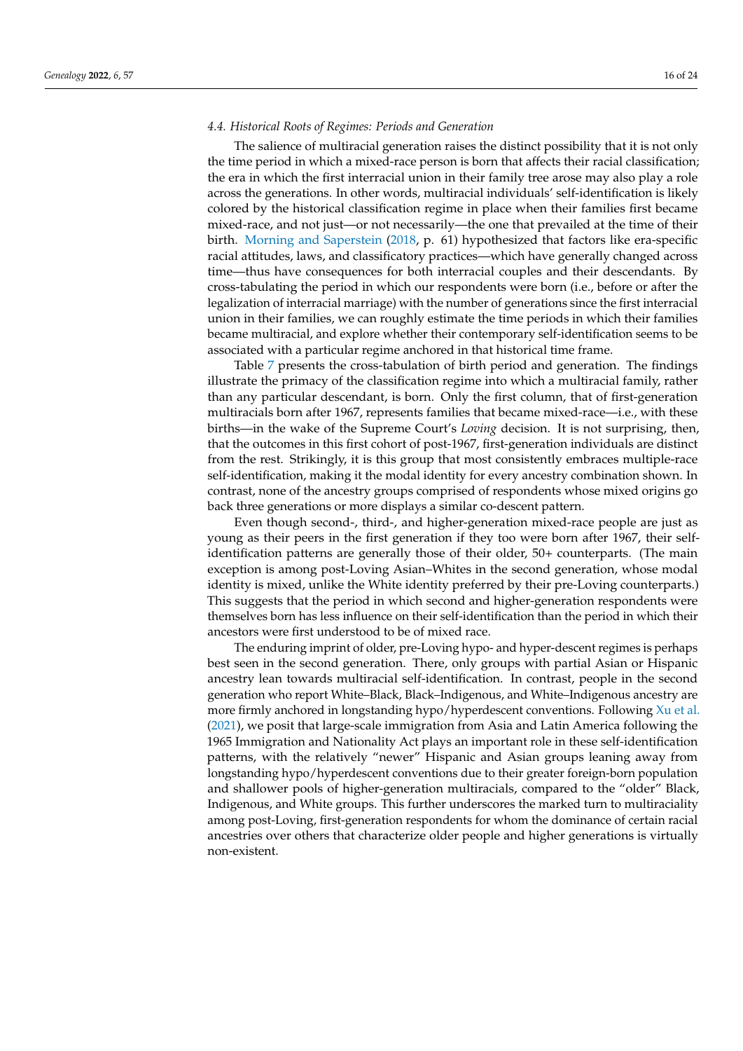## *4.4. Historical Roots of Regimes: Periods and Generation*

The salience of multiracial generation raises the distinct possibility that it is not only the time period in which a mixed-race person is born that affects their racial classification; the era in which the first interracial union in their family tree arose may also play a role across the generations. In other words, multiracial individuals' self-identification is likely colored by the historical classification regime in place when their families first became mixed-race, and not just—or not necessarily—the one that prevailed at the time of their birth. [Morning and Saperstein](#page-23-15) [\(2018,](#page-23-15) p. 61) hypothesized that factors like era-specific racial attitudes, laws, and classificatory practices—which have generally changed across time—thus have consequences for both interracial couples and their descendants. By cross-tabulating the period in which our respondents were born (i.e., before or after the legalization of interracial marriage) with the number of generations since the first interracial union in their families, we can roughly estimate the time periods in which their families became multiracial, and explore whether their contemporary self-identification seems to be associated with a particular regime anchored in that historical time frame.

Table [7](#page-16-0) presents the cross-tabulation of birth period and generation. The findings illustrate the primacy of the classification regime into which a multiracial family, rather than any particular descendant, is born. Only the first column, that of first-generation multiracials born after 1967, represents families that became mixed-race—i.e., with these births—in the wake of the Supreme Court's *Loving* decision. It is not surprising, then, that the outcomes in this first cohort of post-1967, first-generation individuals are distinct from the rest. Strikingly, it is this group that most consistently embraces multiple-race self-identification, making it the modal identity for every ancestry combination shown. In contrast, none of the ancestry groups comprised of respondents whose mixed origins go back three generations or more displays a similar co-descent pattern.

Even though second-, third-, and higher-generation mixed-race people are just as young as their peers in the first generation if they too were born after 1967, their selfidentification patterns are generally those of their older, 50+ counterparts. (The main exception is among post-Loving Asian–Whites in the second generation, whose modal identity is mixed, unlike the White identity preferred by their pre-Loving counterparts.) This suggests that the period in which second and higher-generation respondents were themselves born has less influence on their self-identification than the period in which their ancestors were first understood to be of mixed race.

The enduring imprint of older, pre-Loving hypo- and hyper-descent regimes is perhaps best seen in the second generation. There, only groups with partial Asian or Hispanic ancestry lean towards multiracial self-identification. In contrast, people in the second generation who report White–Black, Black–Indigenous, and White–Indigenous ancestry are more firmly anchored in longstanding hypo/hyperdescent conventions. Following [Xu et al.](#page-23-13) [\(2021\)](#page-23-13), we posit that large-scale immigration from Asia and Latin America following the 1965 Immigration and Nationality Act plays an important role in these self-identification patterns, with the relatively "newer" Hispanic and Asian groups leaning away from longstanding hypo/hyperdescent conventions due to their greater foreign-born population and shallower pools of higher-generation multiracials, compared to the "older" Black, Indigenous, and White groups. This further underscores the marked turn to multiraciality among post-Loving, first-generation respondents for whom the dominance of certain racial ancestries over others that characterize older people and higher generations is virtually non-existent.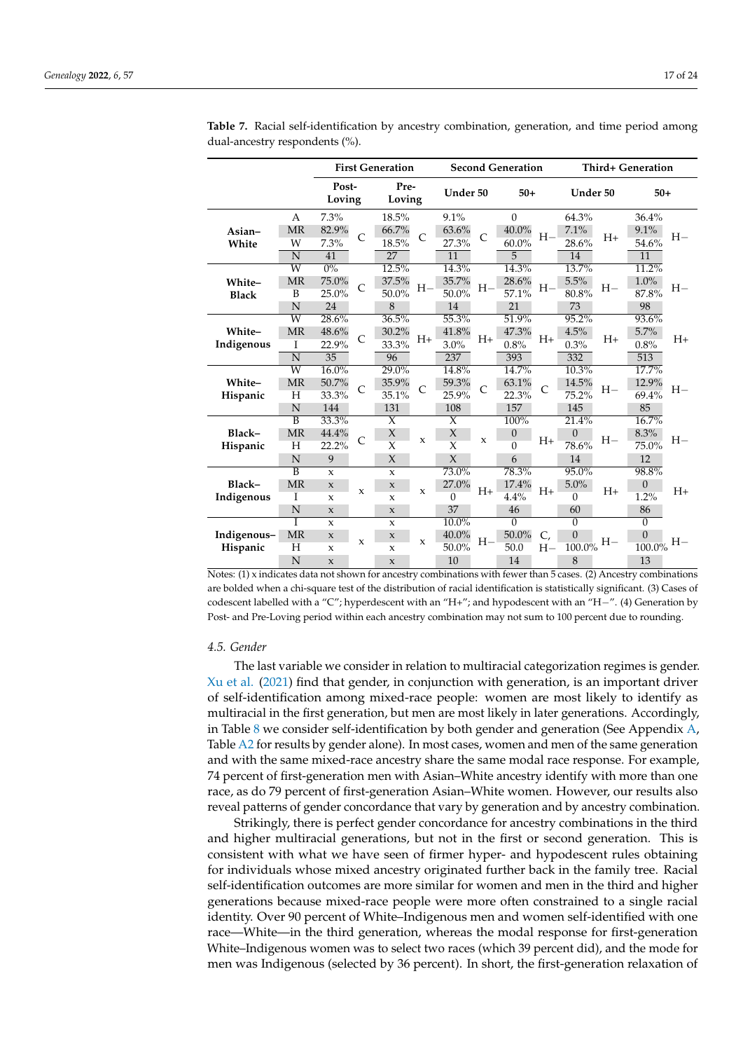|                         |                                                          |                                                                   | <b>First Generation</b> |                                                                            |             |                                                          |                | <b>Second Generation</b>               |             | <b>Third+ Generation</b>                  |         |                                            |      |
|-------------------------|----------------------------------------------------------|-------------------------------------------------------------------|-------------------------|----------------------------------------------------------------------------|-------------|----------------------------------------------------------|----------------|----------------------------------------|-------------|-------------------------------------------|---------|--------------------------------------------|------|
|                         |                                                          | Post-<br>Loving                                                   |                         | Pre-<br>Loving                                                             |             | Under 50                                                 |                | $50+$                                  |             | Under 50                                  |         | $50+$                                      |      |
| Asian-<br>White         | A<br><b>MR</b><br>W<br>N                                 | 7.3%<br>82.9%<br>7.3%<br>41                                       | C                       | 18.5%<br>66.7%<br>18.5%<br>27                                              | C           | 9.1%<br>63.6%<br>27.3%<br>11                             | $\mathsf{C}$   | $\mathbf{0}$<br>40.0%<br>$60.0\%$<br>5 | $H-$        | 64.3%<br>7.1%<br>28.6%<br>14              | $H_{+}$ | 36.4%<br>9.1%<br>54.6%<br>11               | $H-$ |
| White-<br><b>Black</b>  | $\overline{\text{W}}$<br><b>MR</b><br>B<br>N             | $0\%$<br>75.0%<br>25.0%<br>24                                     | C                       | 12.5%<br>37.5%<br>50.0%<br>8                                               | H-          | 14.3%<br>35.7%<br>50.0%<br>14                            | H-             | 14.3%<br>28.6%<br>57.1%<br>21          | $H-$        | 13.7%<br>5.5%<br>80.8%<br>73              | $H-$    | $11.2\%$<br>1.0%<br>87.8%<br>98            | $H-$ |
| White-<br>Indigenous    | W<br><b>MR</b><br>I<br>N                                 | 28.6%<br>48.6%<br>22.9%<br>35                                     | $\mathsf{C}$            | 36.5%<br>30.2%<br>33.3%<br>96                                              | $H+$        | 55.3%<br>41.8%<br>3.0%<br>237                            | $H_{+}$        | 51.9%<br>47.3%<br>0.8%<br>393          | $H+$        | 95.2%<br>4.5%<br>0.3%<br>332              | $H_{+}$ | $93.6\%$<br>5.7%<br>0.8%<br>513            | $H+$ |
| White-<br>Hispanic      | $\overline{W}$<br><b>MR</b><br>H<br>N                    | 16.0%<br>50.7%<br>33.3%<br>144                                    | $\mathsf{C}$            | 29.0%<br>35.9%<br>35.1%<br>131                                             | Ċ           | 14.8%<br>59.3%<br>25.9%<br>108                           | $\overline{C}$ | 14.7%<br>63.1%<br>22.3%<br>157         | C           | 10.3%<br>14.5%<br>75.2%<br>145            | $H-$    | 17.7%<br>12.9%<br>69.4%<br>85              | $H-$ |
| Black-<br>Hispanic      | $\overline{\mathbf{B}}$<br><b>MR</b><br>H<br>N           | 33.3%<br>44.4%<br>22.2%<br>9                                      | C                       | $\overline{X}$<br>$\chi$<br>$\overline{\chi}$<br>$\chi$                    | X           | $\overline{X}$<br>X<br>$\overline{\mathsf{x}}$<br>$\chi$ | $\mathbf x$    | 100%<br>$\mathbf{0}$<br>$\Omega$<br>6  | $H+$        | 21.4%<br>$\overline{0}$<br>78.6%<br>14    | $H-$    | 16.7%<br>8.3%<br>75.0%<br>12               | $H-$ |
| Black-<br>Indigenous    | $\overline{\mathbf{B}}$<br><b>MR</b><br>Ι<br>$\mathbf N$ | $\mathbf{x}$<br>$\mathbf x$<br>$\mathbf x$<br>$\boldsymbol{\chi}$ | $\mathbf{x}$            | $\mathbf x$<br>$\mathsf X$<br>X<br>$\mathbf{x}$                            | $\mathbf x$ | $73.0\%$<br>27.0%<br>$\theta$<br>37                      | $H+$           | 78.3%<br>17.4%<br>4.4%<br>46           | $H+$        | 95.0%<br>5.0%<br>$\theta$<br>60           | $H+$    | 98.8%<br>$\theta$<br>1.2%<br>86            | $H+$ |
| Indigenous-<br>Hispanic | Ī<br><b>MR</b><br>Η<br>N                                 | $\mathbf{x}$<br>$\mathsf X$<br>$\mathsf X$<br>$\mathbf{x}$        | $\mathbf x$             | $\mathbf{x}$<br>$\boldsymbol{\chi}$<br>$\boldsymbol{\chi}$<br>$\mathbf{x}$ | $\mathbf x$ | $10.0\%$<br>40.0%<br>50.0%<br>10                         | $H -$          | $\overline{0}$<br>50.0%<br>50.0<br>14  | C,<br>$H -$ | $\overline{0}$<br>$\theta$<br>100.0%<br>8 | $H-$    | $\overline{0}$<br>$\theta$<br>100.0%<br>13 | $H-$ |

<span id="page-16-0"></span>**Table 7.** Racial self-identification by ancestry combination, generation, and time period among dual-ancestry respondents (%).

Notes: (1) x indicates data not shown for ancestry combinations with fewer than 5 cases. (2) Ancestry combinations are bolded when a chi-square test of the distribution of racial identification is statistically significant. (3) Cases of codescent labelled with a "C"; hyperdescent with an "H+"; and hypodescent with an "H−". (4) Generation by Post- and Pre-Loving period within each ancestry combination may not sum to 100 percent due to rounding.

#### *4.5. Gender*

The last variable we consider in relation to multiracial categorization regimes is gender. [Xu et al.](#page-23-13) [\(2021\)](#page-23-13) find that gender, in conjunction with generation, is an important driver of self-identification among mixed-race people: women are most likely to identify as multiracial in the first generation, but men are most likely in later generations. Accordingly, in Table [8](#page-17-0) we consider self-identification by both gender and generation (See Appendix  $A$ , Table [A2](#page-21-0) for results by gender alone). In most cases, women and men of the same generation and with the same mixed-race ancestry share the same modal race response. For example, 74 percent of first-generation men with Asian–White ancestry identify with more than one race, as do 79 percent of first-generation Asian–White women. However, our results also reveal patterns of gender concordance that vary by generation and by ancestry combination.

Strikingly, there is perfect gender concordance for ancestry combinations in the third and higher multiracial generations, but not in the first or second generation. This is consistent with what we have seen of firmer hyper- and hypodescent rules obtaining for individuals whose mixed ancestry originated further back in the family tree. Racial self-identification outcomes are more similar for women and men in the third and higher generations because mixed-race people were more often constrained to a single racial identity. Over 90 percent of White–Indigenous men and women self-identified with one race—White—in the third generation, whereas the modal response for first-generation White–Indigenous women was to select two races (which 39 percent did), and the mode for men was Indigenous (selected by 36 percent). In short, the first-generation relaxation of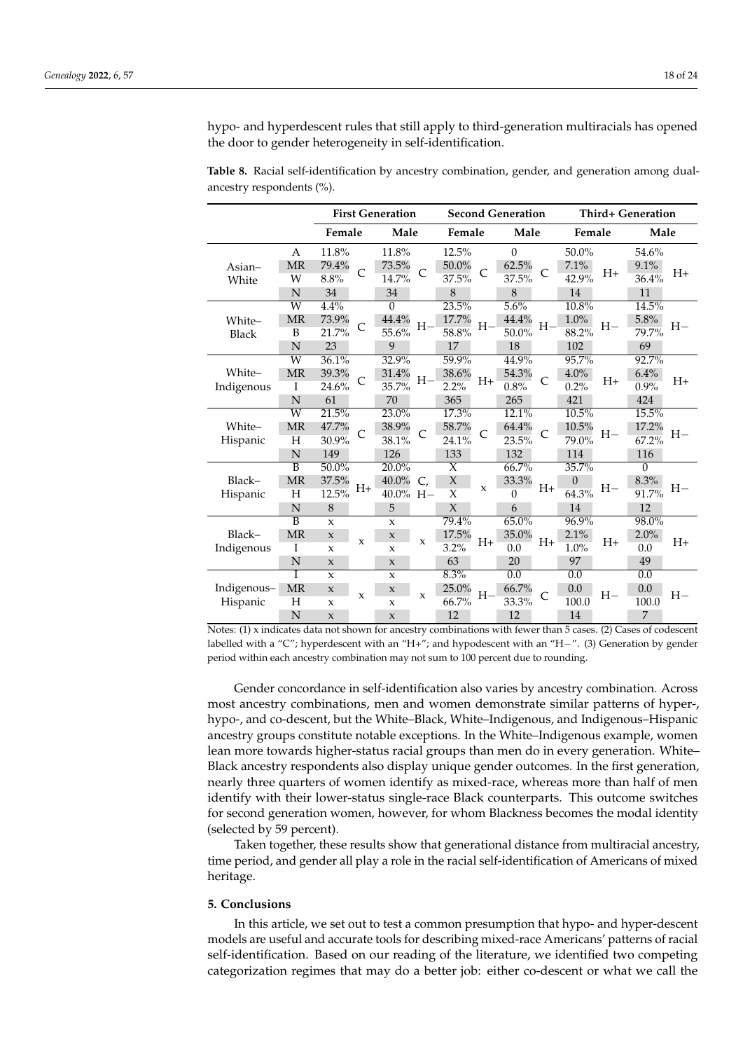hypo- and hyperdescent rules that still apply to third-generation multiracials has opened the door to gender heterogeneity in self-identification.

|                         |                         |              |              | <b>First Generation</b>   |                |                   | <b>Second Generation</b> |                  |                |          |         | Third+ Generation |      |
|-------------------------|-------------------------|--------------|--------------|---------------------------|----------------|-------------------|--------------------------|------------------|----------------|----------|---------|-------------------|------|
|                         |                         |              |              |                           |                |                   |                          |                  |                |          |         |                   |      |
|                         |                         | Female       |              | Male                      |                | Female            |                          | Male             |                | Female   |         | Male              |      |
|                         | A                       | 11.8%        |              | 11.8%                     |                | 12.5%             |                          | $\Omega$         |                | 50.0%    |         | 54.6%             |      |
| Asian-                  | <b>MR</b>               | 79.4%        | $\mathsf{C}$ | 73.5%                     | $\overline{C}$ | 50.0%             | $\mathsf{C}$             | 62.5%            | $\mathsf{C}$   | 7.1%     | $H_{+}$ | 9.1%              | $H+$ |
| White                   | W                       | 8.8%         |              | 14.7%                     |                | 37.5%             |                          | 37.5%            |                | 42.9%    |         | 36.4%             |      |
|                         | $\mathbb N$             | 34           |              | 34                        |                | 8                 |                          | $\,8\,$          |                | 14       |         | 11                |      |
|                         | $\overline{W}$          | 4.4%         |              | $\Omega$                  |                | 23.5%             |                          | 5.6%             |                | 10.8%    |         | 14.5%             |      |
| White-                  | <b>MR</b>               | 73.9%        | C            | 44.4%                     | $H-$           | 17.7%             | $H-$                     | 44.4%            | $H-$           | 1.0%     | $H-$    | 5.8%              | $H-$ |
| Black                   | B                       | 21.7%        |              | 55.6%                     |                | 58.8%             |                          | 50.0%            |                | 88.2%    |         | 79.7%             |      |
|                         | N                       | 23           |              | 9                         |                | 17                |                          | 18               |                | 102      |         | 69                |      |
|                         | Ŵ                       | 36.1%        |              | 32.9%                     |                | 59.9%             |                          | 44.9%            |                | 95.7%    |         | 92.7%             |      |
| White-                  | <b>MR</b>               | 39.3%        | $\mathsf{C}$ | 31.4%                     | $H-$           | 38.6%             | $H+$                     | 54.3%            | $\overline{C}$ | 4.0%     | $H+$    | 6.4%              | $H+$ |
| Indigenous              | I                       | 24.6%        |              | 35.7%                     |                | 2.2%              |                          | 0.8%             |                | 0.2%     |         | 0.9%              |      |
|                         | N                       | 61           |              | 70                        |                | 365               |                          | 265              |                | 421      |         | 424               |      |
|                         | Ŵ                       | 21.5%        |              | 23.0%                     |                | 17.3%             |                          | 12.1%            |                | 10.5%    |         | 15.5%             |      |
| White-                  | <b>MR</b>               | 47.7%        | C            | 38.9%                     | C              | 58.7%             | C                        | 64.4%            | C              | 10.5%    | $H-$    | 17.2%             | $H-$ |
| Hispanic                | Η                       | 30.9%        |              | 38.1%                     |                | 24.1%             |                          | 23.5%            |                | 79.0%    | 67.2%   |                   |      |
|                         | N                       | 149          |              | 126                       |                | 133               |                          | 132              |                | 114      |         | 116               |      |
|                         | $\overline{\mathbf{B}}$ | $50.0\%$     |              | $20.0\%$                  |                | $\overline{\chi}$ |                          | 66.7%            |                | 35.7%    |         | $\theta$          |      |
| Black-                  | <b>MR</b>               | 37.5%        | $H+$         | 40.0%                     | C.             | $\chi$            | $\mathbf{x}$             | 33.3%            | $H+$           | $\theta$ | $H-$    | 8.3%              | $H-$ |
| Hispanic                | Η                       | 12.5%        |              | $40.0\%$ H-               |                | X                 |                          | $\theta$         |                | 64.3%    |         | 91.7%             |      |
|                         | N                       | 8            |              | 5                         |                | $\chi$            |                          | 6                |                | 14       |         | 12                |      |
|                         | $\overline{B}$          | $\mathbf{x}$ |              | $\mathbf x$               |                | 79.4%             |                          | 65.0%            |                | 96.9%    |         | 98.0%             |      |
| Black-                  | <b>MR</b>               | $\mathbf x$  | X            | $\mathbf x$               | X              | 17.5%             | H+                       | 35.0%            | $H+$           | 2.1%     | $H+$    | 2.0%              | $H+$ |
| Indigenous              | I                       | $\mathbf x$  |              | $\boldsymbol{\mathsf{x}}$ |                | $3.2\%$           |                          | 0.0              |                | 1.0%     |         | 0.0               |      |
|                         | N                       | $\mathbf x$  |              | $\mathbf{x}$              |                | 63                |                          | 20               |                | 97       |         | 49                |      |
|                         |                         | $\mathbf{x}$ |              | $\mathbf{x}$              |                | 8.3%              |                          | $\overline{0.0}$ |                | 0.0      |         | $\overline{0.0}$  |      |
| Indigenous-<br>Hispanic | <b>MR</b>               | $\mathbf x$  | $\mathbf{x}$ | $\mathbf x$               | X              | 25.0%             | $H-$                     | 66.7%            | C              | 0.0      | $H -$   | 0.0<br>100.0      | $H-$ |
|                         | Η                       | $\mathsf X$  |              | $\mathsf X$               |                | 66.7%             |                          | 33.3%            |                | 100.0    |         |                   |      |
|                         | N                       | $\mathbf{x}$ |              | $\mathbf{x}$              |                | 12                |                          | 12               |                | 14       |         | $\overline{7}$    |      |

<span id="page-17-0"></span>**Table 8.** Racial self-identification by ancestry combination, gender, and generation among dualancestry respondents (%).

Notes: (1) x indicates data not shown for ancestry combinations with fewer than 5 cases. (2) Cases of codescent labelled with a "C"; hyperdescent with an "H+"; and hypodescent with an "H−". (3) Generation by gender period within each ancestry combination may not sum to 100 percent due to rounding.

Gender concordance in self-identification also varies by ancestry combination. Across most ancestry combinations, men and women demonstrate similar patterns of hyper-, hypo-, and co-descent, but the White–Black, White–Indigenous, and Indigenous–Hispanic ancestry groups constitute notable exceptions. In the White–Indigenous example, women lean more towards higher-status racial groups than men do in every generation. White– Black ancestry respondents also display unique gender outcomes. In the first generation, nearly three quarters of women identify as mixed-race, whereas more than half of men identify with their lower-status single-race Black counterparts. This outcome switches for second generation women, however, for whom Blackness becomes the modal identity (selected by 59 percent).

Taken together, these results show that generational distance from multiracial ancestry, time period, and gender all play a role in the racial self-identification of Americans of mixed heritage.

# **5. Conclusions**

In this article, we set out to test a common presumption that hypo- and hyper-descent models are useful and accurate tools for describing mixed-race Americans' patterns of racial self-identification. Based on our reading of the literature, we identified two competing categorization regimes that may do a better job: either co-descent or what we call the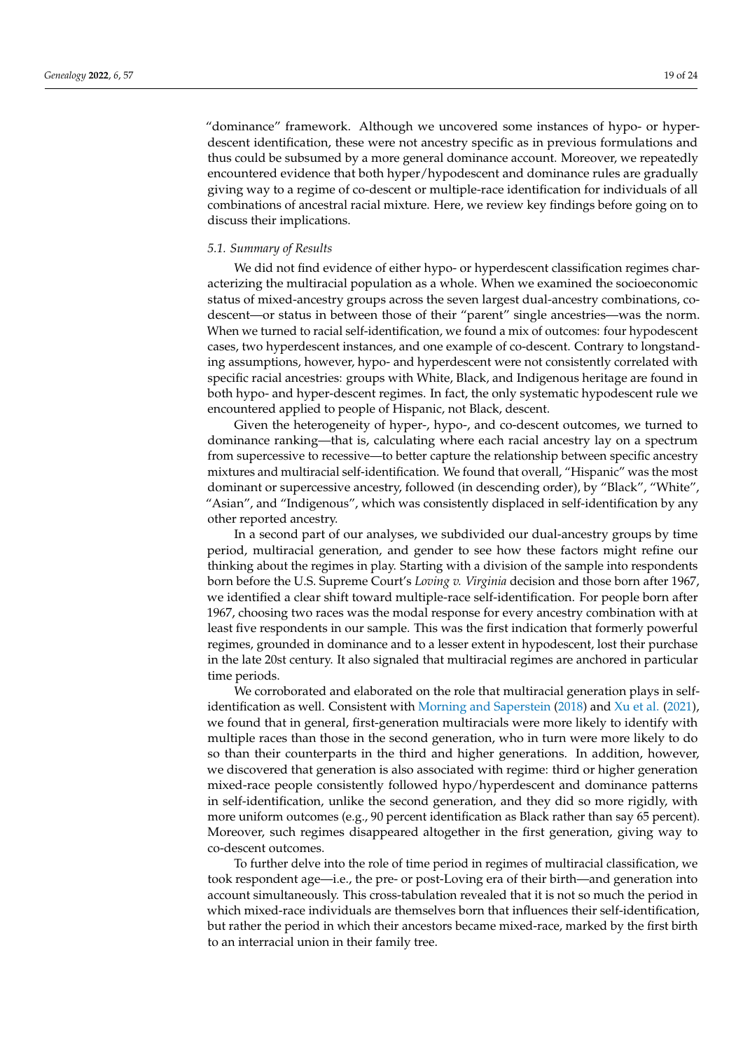"dominance" framework. Although we uncovered some instances of hypo- or hyperdescent identification, these were not ancestry specific as in previous formulations and thus could be subsumed by a more general dominance account. Moreover, we repeatedly encountered evidence that both hyper/hypodescent and dominance rules are gradually giving way to a regime of co-descent or multiple-race identification for individuals of all combinations of ancestral racial mixture. Here, we review key findings before going on to discuss their implications.

## *5.1. Summary of Results*

We did not find evidence of either hypo- or hyperdescent classification regimes characterizing the multiracial population as a whole. When we examined the socioeconomic status of mixed-ancestry groups across the seven largest dual-ancestry combinations, codescent—or status in between those of their "parent" single ancestries—was the norm. When we turned to racial self-identification, we found a mix of outcomes: four hypodescent cases, two hyperdescent instances, and one example of co-descent. Contrary to longstanding assumptions, however, hypo- and hyperdescent were not consistently correlated with specific racial ancestries: groups with White, Black, and Indigenous heritage are found in both hypo- and hyper-descent regimes. In fact, the only systematic hypodescent rule we encountered applied to people of Hispanic, not Black, descent.

Given the heterogeneity of hyper-, hypo-, and co-descent outcomes, we turned to dominance ranking—that is, calculating where each racial ancestry lay on a spectrum from supercessive to recessive—to better capture the relationship between specific ancestry mixtures and multiracial self-identification. We found that overall, "Hispanic" was the most dominant or supercessive ancestry, followed (in descending order), by "Black", "White", "Asian", and "Indigenous", which was consistently displaced in self-identification by any other reported ancestry.

In a second part of our analyses, we subdivided our dual-ancestry groups by time period, multiracial generation, and gender to see how these factors might refine our thinking about the regimes in play. Starting with a division of the sample into respondents born before the U.S. Supreme Court's *Loving v. Virginia* decision and those born after 1967, we identified a clear shift toward multiple-race self-identification. For people born after 1967, choosing two races was the modal response for every ancestry combination with at least five respondents in our sample. This was the first indication that formerly powerful regimes, grounded in dominance and to a lesser extent in hypodescent, lost their purchase in the late 20st century. It also signaled that multiracial regimes are anchored in particular time periods.

We corroborated and elaborated on the role that multiracial generation plays in selfidentification as well. Consistent with [Morning and Saperstein](#page-23-15) [\(2018\)](#page-23-15) and [Xu et al.](#page-23-13) [\(2021\)](#page-23-13), we found that in general, first-generation multiracials were more likely to identify with multiple races than those in the second generation, who in turn were more likely to do so than their counterparts in the third and higher generations. In addition, however, we discovered that generation is also associated with regime: third or higher generation mixed-race people consistently followed hypo/hyperdescent and dominance patterns in self-identification, unlike the second generation, and they did so more rigidly, with more uniform outcomes (e.g., 90 percent identification as Black rather than say 65 percent). Moreover, such regimes disappeared altogether in the first generation, giving way to co-descent outcomes.

To further delve into the role of time period in regimes of multiracial classification, we took respondent age—i.e., the pre- or post-Loving era of their birth—and generation into account simultaneously. This cross-tabulation revealed that it is not so much the period in which mixed-race individuals are themselves born that influences their self-identification, but rather the period in which their ancestors became mixed-race, marked by the first birth to an interracial union in their family tree.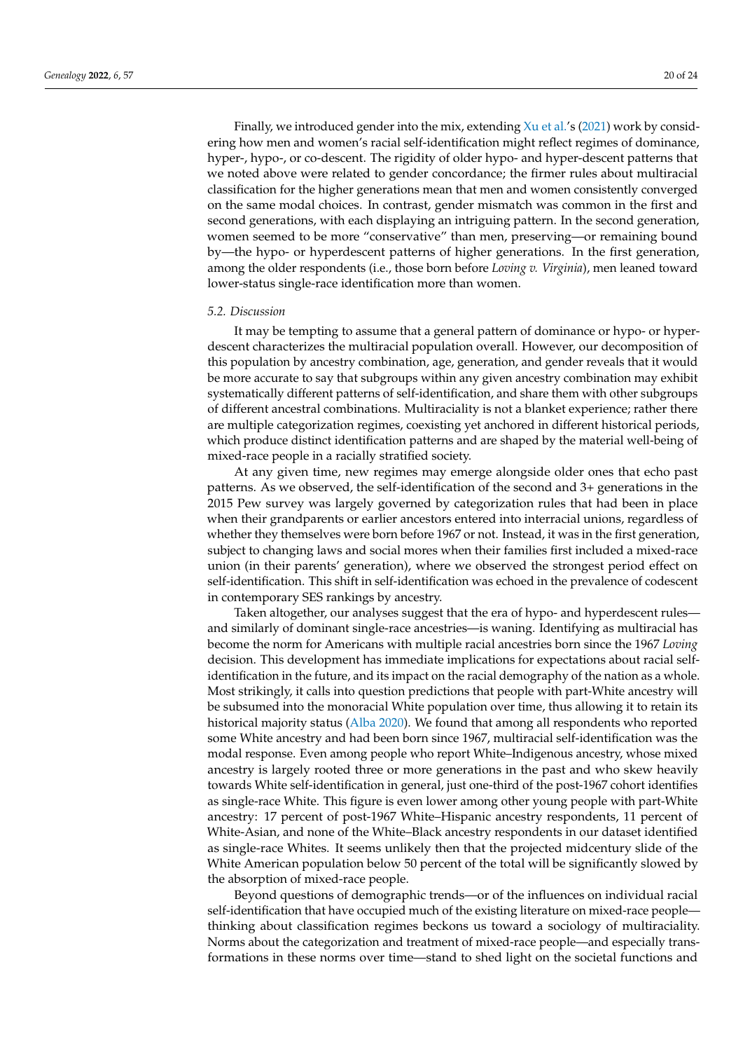Finally, we introduced gender into the mix, extending  $Xu$  et al.'s [\(2021\)](#page-23-13) work by considering how men and women's racial self-identification might reflect regimes of dominance, hyper-, hypo-, or co-descent. The rigidity of older hypo- and hyper-descent patterns that we noted above were related to gender concordance; the firmer rules about multiracial classification for the higher generations mean that men and women consistently converged on the same modal choices. In contrast, gender mismatch was common in the first and second generations, with each displaying an intriguing pattern. In the second generation, women seemed to be more "conservative" than men, preserving—or remaining bound by—the hypo- or hyperdescent patterns of higher generations. In the first generation, among the older respondents (i.e., those born before *Loving v. Virginia*), men leaned toward lower-status single-race identification more than women.

#### *5.2. Discussion*

It may be tempting to assume that a general pattern of dominance or hypo- or hyperdescent characterizes the multiracial population overall. However, our decomposition of this population by ancestry combination, age, generation, and gender reveals that it would be more accurate to say that subgroups within any given ancestry combination may exhibit systematically different patterns of self-identification, and share them with other subgroups of different ancestral combinations. Multiraciality is not a blanket experience; rather there are multiple categorization regimes, coexisting yet anchored in different historical periods, which produce distinct identification patterns and are shaped by the material well-being of mixed-race people in a racially stratified society.

At any given time, new regimes may emerge alongside older ones that echo past patterns. As we observed, the self-identification of the second and 3+ generations in the 2015 Pew survey was largely governed by categorization rules that had been in place when their grandparents or earlier ancestors entered into interracial unions, regardless of whether they themselves were born before 1967 or not. Instead, it was in the first generation, subject to changing laws and social mores when their families first included a mixed-race union (in their parents' generation), where we observed the strongest period effect on self-identification. This shift in self-identification was echoed in the prevalence of codescent in contemporary SES rankings by ancestry.

Taken altogether, our analyses suggest that the era of hypo- and hyperdescent rules and similarly of dominant single-race ancestries—is waning. Identifying as multiracial has become the norm for Americans with multiple racial ancestries born since the 1967 *Loving* decision. This development has immediate implications for expectations about racial selfidentification in the future, and its impact on the racial demography of the nation as a whole. Most strikingly, it calls into question predictions that people with part-White ancestry will be subsumed into the monoracial White population over time, thus allowing it to retain its historical majority status [\(Alba](#page-22-12) [2020\)](#page-22-12). We found that among all respondents who reported some White ancestry and had been born since 1967, multiracial self-identification was the modal response. Even among people who report White–Indigenous ancestry, whose mixed ancestry is largely rooted three or more generations in the past and who skew heavily towards White self-identification in general, just one-third of the post-1967 cohort identifies as single-race White. This figure is even lower among other young people with part-White ancestry: 17 percent of post-1967 White–Hispanic ancestry respondents, 11 percent of White-Asian, and none of the White–Black ancestry respondents in our dataset identified as single-race Whites. It seems unlikely then that the projected midcentury slide of the White American population below 50 percent of the total will be significantly slowed by the absorption of mixed-race people.

Beyond questions of demographic trends—or of the influences on individual racial self-identification that have occupied much of the existing literature on mixed-race people thinking about classification regimes beckons us toward a sociology of multiraciality. Norms about the categorization and treatment of mixed-race people—and especially transformations in these norms over time—stand to shed light on the societal functions and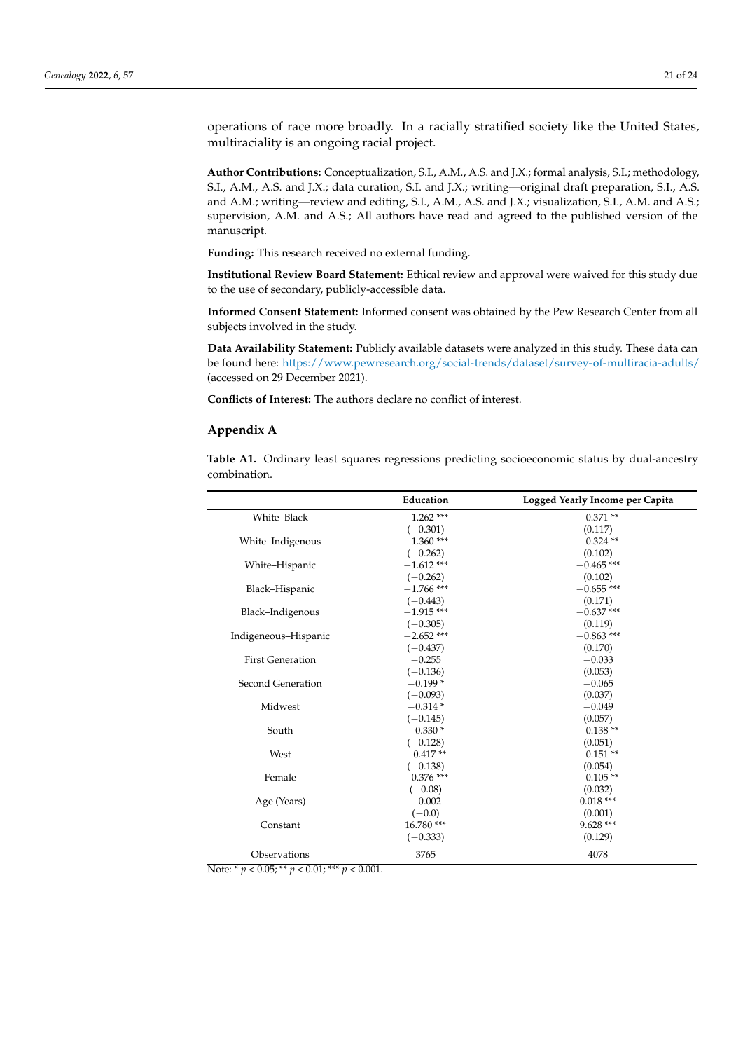operations of race more broadly. In a racially stratified society like the United States, multiraciality is an ongoing racial project.

**Author Contributions:** Conceptualization, S.I., A.M., A.S. and J.X.; formal analysis, S.I.; methodology, S.I., A.M., A.S. and J.X.; data curation, S.I. and J.X.; writing—original draft preparation, S.I., A.S. and A.M.; writing—review and editing, S.I., A.M., A.S. and J.X.; visualization, S.I., A.M. and A.S.; supervision, A.M. and A.S.; All authors have read and agreed to the published version of the manuscript.

**Funding:** This research received no external funding.

**Institutional Review Board Statement:** Ethical review and approval were waived for this study due to the use of secondary, publicly-accessible data.

**Informed Consent Statement:** Informed consent was obtained by the Pew Research Center from all subjects involved in the study.

**Data Availability Statement:** Publicly available datasets were analyzed in this study. These data can be found here: <https://www.pewresearch.org/social-trends/dataset/survey-of-multiracia-adults/> (accessed on 29 December 2021).

**Conflicts of Interest:** The authors declare no conflict of interest.

## <span id="page-20-0"></span>**Appendix A**

**Table A1.** Ordinary least squares regressions predicting socioeconomic status by dual-ancestry combination.

|                         | Education    | Logged Yearly Income per Capita |
|-------------------------|--------------|---------------------------------|
| White-Black             | $-1.262$ *** | $-0.371**$                      |
|                         | $(-0.301)$   | (0.117)                         |
| White-Indigenous        | $-1.360$ *** | $-0.324$ **                     |
|                         | $(-0.262)$   | (0.102)                         |
| White-Hispanic          | $-1.612$ *** | $-0.465$ ***                    |
|                         | $(-0.262)$   | (0.102)                         |
| Black-Hispanic          | $-1.766$ *** | $-0.655$ ***                    |
|                         | $(-0.443)$   | (0.171)                         |
| Black-Indigenous        | $-1.915$ *** | $-0.637$ ***                    |
|                         | $(-0.305)$   | (0.119)                         |
| Indigeneous-Hispanic    | $-2.652$ *** | $-0.863$ ***                    |
|                         | $(-0.437)$   | (0.170)                         |
| <b>First Generation</b> | $-0.255$     | $-0.033$                        |
|                         | $(-0.136)$   | (0.053)                         |
| Second Generation       | $-0.199*$    | $-0.065$                        |
|                         | $(-0.093)$   | (0.037)                         |
| Midwest                 | $-0.314*$    | $-0.049$                        |
|                         | $(-0.145)$   | (0.057)                         |
| South                   | $-0.330*$    | $-0.138**$                      |
|                         | $(-0.128)$   | (0.051)                         |
| West                    | $-0.417**$   | $-0.151**$                      |
|                         | $(-0.138)$   | (0.054)                         |
| Female                  | $-0.376$ *** | $-0.105**$                      |
|                         | $(-0.08)$    | (0.032)                         |
| Age (Years)             | $-0.002$     | $0.018***$                      |
|                         | $(-0.0)$     | (0.001)                         |
| Constant                | 16.780***    | $9.628***$                      |
|                         | $(-0.333)$   | (0.129)                         |
| Observations            | 3765         | 4078                            |

Note: \* *p* < 0.05; \*\* *p* < 0.01; \*\*\* *p* < 0.001.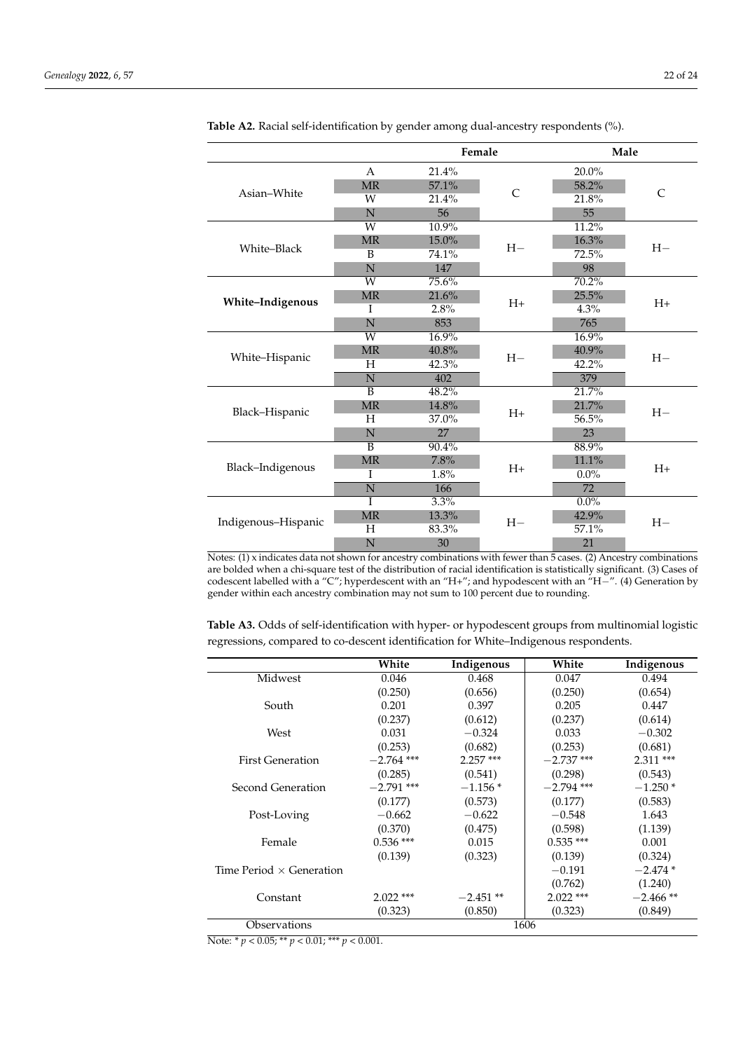|                     |                       | Female |                | Male     |               |  |
|---------------------|-----------------------|--------|----------------|----------|---------------|--|
|                     | A                     | 21.4%  |                | $20.0\%$ |               |  |
|                     | <b>MR</b>             | 57.1%  |                | 58.2%    |               |  |
| Asian-White         | W                     | 21.4%  | $\overline{C}$ | 21.8%    | $\mathcal{C}$ |  |
|                     | N                     | 56     |                | 55       |               |  |
|                     | $\overline{\text{W}}$ | 10.9%  |                | 11.2%    |               |  |
|                     | MR                    | 15.0%  | $H-$           | 16.3%    | $H-$          |  |
| White-Black         | B                     | 74.1%  |                | 72.5%    |               |  |
|                     | N                     | 147    |                | 98       |               |  |
|                     | W                     | 75.6%  |                | 70.2%    |               |  |
| White-Indigenous    | <b>MR</b>             | 21.6%  | $H+$           | 25.5%    | $H+$          |  |
|                     | I                     | 2.8%   |                | 4.3%     |               |  |
|                     | N                     | 853    |                | 765      |               |  |
|                     | $\overline{W}$        | 16.9%  |                | 16.9%    |               |  |
| White-Hispanic      | <b>MR</b>             | 40.8%  | $H-$           | 40.9%    | $H-$          |  |
|                     | H                     | 42.3%  |                | 42.2%    |               |  |
|                     | $\overline{N}$        | 402    |                | 379      |               |  |
|                     | B                     | 48.2%  |                | 21.7%    |               |  |
| Black-Hispanic      | MR                    | 14.8%  | $H+$           | 21.7%    | $H-$          |  |
|                     | H                     | 37.0%  |                | 56.5%    |               |  |
|                     | N                     | 27     |                | 23       |               |  |
|                     | $\overline{B}$        | 90.4%  |                | 88.9%    |               |  |
| Black-Indigenous    | MR                    | 7.8%   | $H+$           | 11.1%    | $H+$          |  |
|                     | I                     | 1.8%   |                | $0.0\%$  |               |  |
|                     | N                     | 166    |                | 72       |               |  |
|                     | T                     | 3.3%   |                | $0.0\%$  |               |  |
| Indigenous-Hispanic | MR                    | 13.3%  | $H-$           | 42.9%    | $H-$          |  |
|                     | Н                     | 83.3%  |                | 57.1%    |               |  |
|                     | N                     | 30     |                | 21       |               |  |

<span id="page-21-0"></span>**Table A2.** Racial self-identification by gender among dual-ancestry respondents (%).

Notes: (1) x indicates data not shown for ancestry combinations with fewer than  $\frac{1}{5}$  cases. (2) Ancestry combinations are bolded when a chi-square test of the distribution of racial identification is statistically significant. (3) Cases of codescent labelled with a "C"; hyperdescent with an "H+"; and hypodescent with an "H−". (4) Generation by gender within each ancestry combination may not sum to 100 percent due to rounding.

**Table A3.** Odds of self-identification with hyper- or hypodescent groups from multinomial logistic regressions, compared to co-descent identification for White–Indigenous respondents.

|                                 | White        | Indigenous | White        | Indigenous |
|---------------------------------|--------------|------------|--------------|------------|
| Midwest                         | 0.046        | 0.468      | 0.047        | 0.494      |
|                                 | (0.250)      | (0.656)    | (0.250)      | (0.654)    |
| South                           | 0.201        | 0.397      | 0.205        | 0.447      |
|                                 | (0.237)      | (0.612)    | (0.237)      | (0.614)    |
| West                            | 0.031        | $-0.324$   | 0.033        | $-0.302$   |
|                                 | (0.253)      | (0.682)    | (0.253)      | (0.681)    |
| <b>First Generation</b>         | $-2.764$ *** | $2.257***$ | $-2.737$ *** | $2.311***$ |
|                                 | (0.285)      | (0.541)    | (0.298)      | (0.543)    |
| Second Generation               | $-2.791$ *** | $-1.156*$  | $-2.794$ *** | $-1.250*$  |
|                                 | (0.177)      | (0.573)    | (0.177)      | (0.583)    |
| Post-Loving                     | $-0.662$     | $-0.622$   | $-0.548$     | 1.643      |
|                                 | (0.370)      | (0.475)    | (0.598)      | (1.139)    |
| Female                          | $0.536$ ***  | 0.015      | $0.535***$   | 0.001      |
|                                 | (0.139)      | (0.323)    | (0.139)      | (0.324)    |
| Time Period $\times$ Generation |              |            | $-0.191$     | $-2.474*$  |
|                                 |              |            | (0.762)      | (1.240)    |
| Constant                        | $2.022$ ***  | $-2.451**$ | $2.022$ ***  | $-2.466**$ |
|                                 | (0.323)      | (0.850)    | (0.323)      | (0.849)    |
| Observations                    |              |            | 1606         |            |

Note: \* *p* < 0.05; \*\* *p* < 0.01; \*\*\* *p* < 0.001.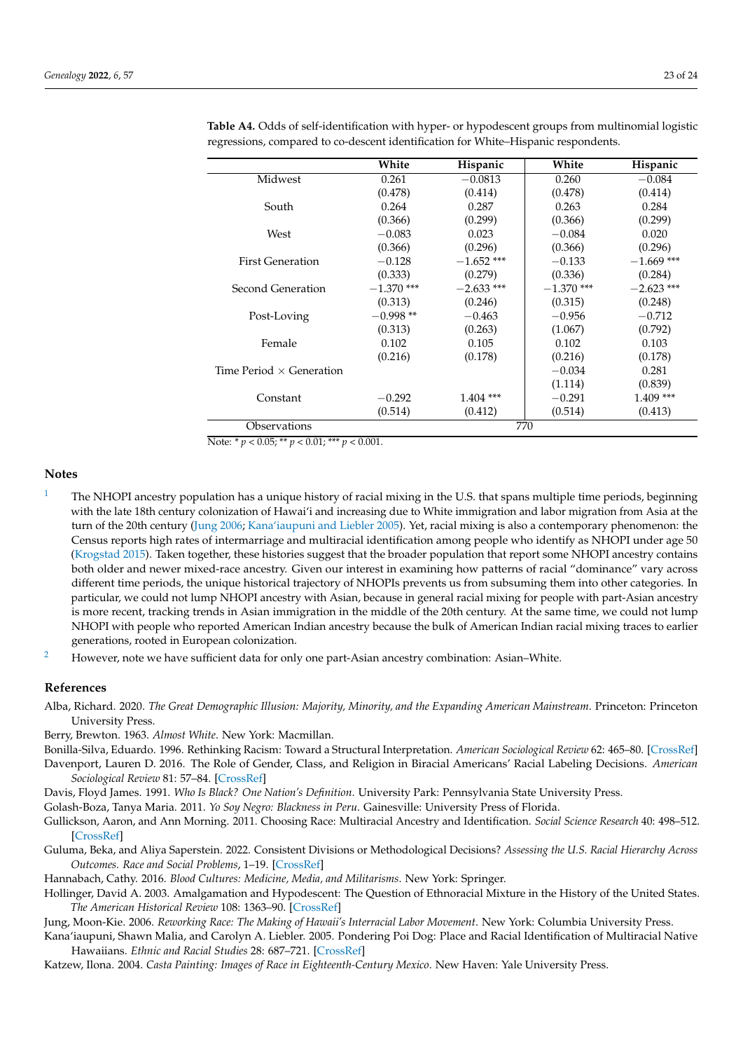|                                 | White        | Hispanic     | White        | Hispanic     |
|---------------------------------|--------------|--------------|--------------|--------------|
| Midwest                         | 0.261        | $-0.0813$    | 0.260        | $-0.084$     |
|                                 | (0.478)      | (0.414)      | (0.478)      | (0.414)      |
| South                           | 0.264        | 0.287        | 0.263        | 0.284        |
|                                 | (0.366)      | (0.299)      | (0.366)      | (0.299)      |
| West                            | $-0.083$     | 0.023        | $-0.084$     | 0.020        |
|                                 | (0.366)      | (0.296)      | (0.366)      | (0.296)      |
| <b>First Generation</b>         | $-0.128$     | $-1.652$ *** | $-0.133$     | $-1.669$ *** |
|                                 | (0.333)      | (0.279)      | (0.336)      | (0.284)      |
| Second Generation               | $-1.370$ *** | $-2.633$ *** | $-1.370$ *** | $-2.623$ *** |
|                                 | (0.313)      | (0.246)      | (0.315)      | (0.248)      |
| Post-Loving                     | $-0.998**$   | $-0.463$     | $-0.956$     | $-0.712$     |
|                                 | (0.313)      | (0.263)      | (1.067)      | (0.792)      |
| Female                          | 0.102        | 0.105        | 0.102        | 0.103        |
|                                 | (0.216)      | (0.178)      | (0.216)      | (0.178)      |
| Time Period $\times$ Generation |              |              | $-0.034$     | 0.281        |
|                                 |              |              | (1.114)      | (0.839)      |
| Constant                        | $-0.292$     | $1.404$ ***  | $-0.291$     | $1.409$ ***  |
|                                 | (0.514)      | (0.412)      | (0.514)      | (0.413)      |
| Observations                    | 770          |              |              |              |

**Table A4.** Odds of self-identification with hyper- or hypodescent groups from multinomial logistic regressions, compared to co-descent identification for White–Hispanic respondents.

Note: \* *p* < 0.05; \*\* *p* < 0.01; \*\*\* *p* < 0.001.

# **Notes**

- <span id="page-22-8"></span>[1](#page-5-0) The NHOPI ancestry population has a unique history of racial mixing in the U.S. that spans multiple time periods, beginning with the late 18th century colonization of Hawai'i and increasing due to White immigration and labor migration from Asia at the turn of the 20th century [\(Jung](#page-22-13) [2006;](#page-22-13) [Kana'iaupuni and Liebler](#page-22-14) [2005\)](#page-22-14). Yet, racial mixing is also a contemporary phenomenon: the Census reports high rates of intermarriage and multiracial identification among people who identify as NHOPI under age 50 [\(Krogstad](#page-23-20) [2015\)](#page-23-20). Taken together, these histories suggest that the broader population that report some NHOPI ancestry contains both older and newer mixed-race ancestry. Given our interest in examining how patterns of racial "dominance" vary across different time periods, the unique historical trajectory of NHOPIs prevents us from subsuming them into other categories. In particular, we could not lump NHOPI ancestry with Asian, because in general racial mixing for people with part-Asian ancestry is more recent, tracking trends in Asian immigration in the middle of the 20th century. At the same time, we could not lump NHOPI with people who reported American Indian ancestry because the bulk of American Indian racial mixing traces to earlier generations, rooted in European colonization.
- <span id="page-22-11"></span><sup>[2](#page-14-0)</sup> However, note we have sufficient data for only one part-Asian ancestry combination: Asian–White.

## **References**

- <span id="page-22-12"></span>Alba, Richard. 2020. *The Great Demographic Illusion: Majority, Minority, and the Expanding American Mainstream*. Princeton: Princeton University Press.
- <span id="page-22-7"></span>Berry, Brewton. 1963. *Almost White*. New York: Macmillan.
- <span id="page-22-9"></span><span id="page-22-6"></span>Bonilla-Silva, Eduardo. 1996. Rethinking Racism: Toward a Structural Interpretation. *American Sociological Review* 62: 465–80. [\[CrossRef\]](http://doi.org/10.2307/2657316) Davenport, Lauren D. 2016. The Role of Gender, Class, and Religion in Biracial Americans' Racial Labeling Decisions. *American*
- *Sociological Review* 81: 57–84. [\[CrossRef\]](http://doi.org/10.1177/0003122415623286)
- <span id="page-22-0"></span>Davis, Floyd James. 1991. *Who Is Black? One Nation's Definition*. University Park: Pennsylvania State University Press.
- <span id="page-22-3"></span>Golash-Boza, Tanya Maria. 2011. *Yo Soy Negro: Blackness in Peru*. Gainesville: University Press of Florida.
- <span id="page-22-5"></span>Gullickson, Aaron, and Ann Morning. 2011. Choosing Race: Multiracial Ancestry and Identification. *Social Science Research* 40: 498–512. [\[CrossRef\]](http://doi.org/10.1016/j.ssresearch.2010.12.010)
- <span id="page-22-10"></span>Guluma, Beka, and Aliya Saperstein. 2022. Consistent Divisions or Methodological Decisions? *Assessing the U.S. Racial Hierarchy Across Outcomes. Race and Social Problems*, 1–19. [\[CrossRef\]](http://doi.org/10.1007/s12552-021-09351-2)
- <span id="page-22-2"></span>Hannabach, Cathy. 2016. *Blood Cultures: Medicine, Media, and Militarisms*. New York: Springer.
- <span id="page-22-1"></span>Hollinger, David A. 2003. Amalgamation and Hypodescent: The Question of Ethnoracial Mixture in the History of the United States. *The American Historical Review* 108: 1363–90. [\[CrossRef\]](http://doi.org/10.1086/529971)
- <span id="page-22-13"></span>Jung, Moon-Kie. 2006. *Reworking Race: The Making of Hawaii's Interracial Labor Movement*. New York: Columbia University Press.
- <span id="page-22-14"></span>Kana'iaupuni, Shawn Malia, and Carolyn A. Liebler. 2005. Pondering Poi Dog: Place and Racial Identification of Multiracial Native Hawaiians. *Ethnic and Racial Studies* 28: 687–721. [\[CrossRef\]](http://doi.org/10.1080/01419870500092852)
- <span id="page-22-4"></span>Katzew, Ilona. 2004. *Casta Painting: Images of Race in Eighteenth-Century Mexico*. New Haven: Yale University Press.